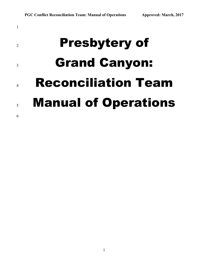# Presbytery of Grand Canyon: Reconciliation Team Manual of Operations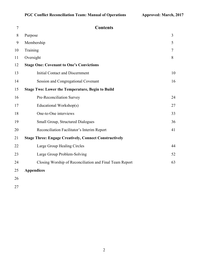27

| 7  | <b>Contents</b>                                               |                |
|----|---------------------------------------------------------------|----------------|
| 8  | Purpose                                                       | $\overline{3}$ |
| 9  | Membership                                                    | 5              |
| 10 | Training                                                      | $\tau$         |
| 11 | Oversight                                                     | 8              |
| 12 | <b>Stage One: Covenant to One's Convictions</b>               |                |
| 13 | <b>Initial Contact and Discernment</b>                        | 10             |
| 14 | Session and Congregational Covenant                           | 16             |
| 15 | <b>Stage Two: Lower the Temperature, Begin to Build</b>       |                |
| 16 | Pre-Reconciliation Survey                                     | 24             |
| 17 | Educational Workshop(s)                                       | 27             |
| 18 | One-to-One interviews                                         | 33             |
| 19 | Small Group, Structured Dialogues                             | 36             |
| 20 | Reconciliation Facilitator's Interim Report                   | 41             |
| 21 | <b>Stage Three: Engage Creatively, Connect Constructively</b> |                |
| 22 | Large Group Healing Circles                                   | 44             |
| 23 | Large Group Problem-Solving                                   | 52             |
| 24 | Closing Worship of Reconciliation and Final Team Report       | 63             |
| 25 | <b>Appendices</b>                                             |                |
| 26 |                                                               |                |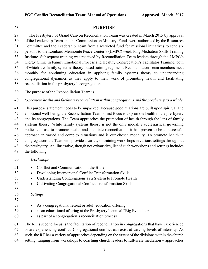# **PURPOSE**

29 The Presbytery of Grand Canyon Reconciliation Team was created in March 2015 by approval of the Leadership Team and the Commission on Ministry. Funds were authorized by the Resources Committee and the Leadership Team from a restricted fund for missional initiatives to send six persons to the Lombard Mennonite Peace Center's (LMPC) week-long Mediation Skills Training Institute. Subsequent training was received by Reconciliation Team leaders through the LMPC's Clergy Clinic in Family Emotional Process and Healthy Congregation's Facilitator Training, both of which are family systems theory-based training regimens. Reconciliation Team members meet monthly for continuing education in applying family systems theory to understanding congregational dynamics as they apply to their work of promoting health and facilitating reconciliation in the presbytery's congregations.

The purpose of the Reconciliation Team is,

*to promote health and facilitate reconciliation within congregations and the presbytery as a whole.* 

 This purpose statement needs to be unpacked. Because good relations are built upon spiritual and emotional well-being, the Reconciliation Team's first focus is to promote health in the presbytery and its congregations. The Team approaches the promotion of health through the lens of family systems theory. While family systems theory is not the only modality ecclesiastical governing bodies can use to promote health and facilitate reconciliation, it has proven to be a successful approach in varied and complex situations and is our chosen modality. To promote health in congregations the Team will provide a variety of training workshops in various settings throughout the presbytery. An illustrative, though not exhaustive, list of such workshops and settings includes the following:

# *Workshops*

- Conflict and Communication in the Bible
- Developing Interpersonal Conflict Transformation Skills
- Understanding Congregations as a System to Promote Health
- Cultivating Congregational Conflict Transformation Skills
- 

*Settings*

- 
- As a congregational retreat or adult education offering,
- as an educational offering at the Presbytery's annual "Big Event," or
- as part of a congregation's reconciliation process.

The RT's second focus is the facilitation of reconciliation in congregations that have experienced

- or are experiencing conflict. Congregational conflict can exist at varying levels of intensity. As
- such, the RT has a variety of approaches depending on the extent of the divisions within the church
- setting, ranging from workshops to coaching church leaders to full-scale mediation approaches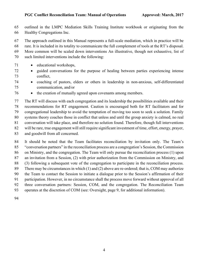outlined in the LMPC Mediation Skills Training Institute workbook or originating from the Healthy Congregations Inc.

The approach outlined in this Manual represents a full-scale mediation, which in practice will be

rare. It is included in its totality to communicate the full complement of tools at the RT's disposal.

More common will be scaled down interventions An illustrative, though not exhaustive, list of

- such limited interventions include the following:
- educational workshops,
- guided conversations for the purpose of healing between parties experiencing intense conflict,
- coaching of pastors, elders or others in leadership in non-anxious, self-differentiated communication, and/or
- the creation of mutually agreed upon covenants among members.

 The RT will discuss with each congregation and its leadership the possibilities available and their recommendations for RT engagement. Caution is encouraged both for RT facilitators and for congregational leadership to avoid the temptation of moving too soon to seek a solution. Family systems theory coaches those in conflict that unless and until the group anxiety is calmed, no real conversation will take place, and therefore no solution found. Therefore, though full interventions will be rare, true engagement will still require significant investment of time, effort, energy, prayer, and goodwill from all concerned.

 It should be noted that the Team facilitates reconciliation by invitation only. The Team's "conversation partners" in the reconciliation process are a congregation's Session, the Commission on Ministry, and the congregation. The Team will only pursue the reconciliation process (1) upon an invitation from a Session, (2) with prior authorization from the Commission on Ministry, and (3) following a subsequent vote of the congregation to participate in the reconciliation process. There may be circumstances in which (1) and (2) above are re-ordered; that is, COM may authorize the Team to contact the Session to initiate a dialogue prior to the Session's affirmation of their participation. However, in no circumstance shall the process move forward without approval of all three conversation partners: Session, COM, and the congregation. The Reconciliation Team operates at the discretion of COM (see: Oversight, page 9, for additional information).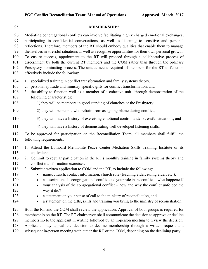| 95                                                                        | <b>MEMBERSHIP*</b>                                                                                                                                                                                                                                                                                                                                                                                                                                                                                                                                                                                                                                                                                                                                                                                                           |
|---------------------------------------------------------------------------|------------------------------------------------------------------------------------------------------------------------------------------------------------------------------------------------------------------------------------------------------------------------------------------------------------------------------------------------------------------------------------------------------------------------------------------------------------------------------------------------------------------------------------------------------------------------------------------------------------------------------------------------------------------------------------------------------------------------------------------------------------------------------------------------------------------------------|
| 96<br>97<br>98<br>99<br>100<br>101<br>102<br>103                          | Mediating congregational conflicts can involve facilitating highly charged emotional exchanges,<br>participating in confidential conversations, as well as listening to sensitive and personal<br>reflections. Therefore, members of the RT should embody qualities that enable them to manage<br>themselves in stressful situations as well as recognize opportunities for their own personal growth.<br>To ensure success, appointment to the RT will proceed through a collaborative process of<br>discernment by both the current RT members and the COM rather than through the ordinary<br>Presbytery nominating process. The unique needs required of members for the RT to function<br>effectively include the following:                                                                                            |
| 104<br>105<br>106<br>107<br>108                                           | 1. specialized training in conflict transformation and family systems theory,<br>2. personal aptitude and ministry-specific gifts for conflict transformation, and<br>the ability to function well as a member of a cohesive unit "through demonstration of the<br>3.<br>following characteristics:<br>1) they will be members in good standing of churches or the Presbytery,                                                                                                                                                                                                                                                                                                                                                                                                                                               |
| 109                                                                       | 2) they will be people who refrain from assigning blame during conflict,                                                                                                                                                                                                                                                                                                                                                                                                                                                                                                                                                                                                                                                                                                                                                     |
| 110                                                                       | 3) they will have a history of exercising emotional control under stressful situations, and                                                                                                                                                                                                                                                                                                                                                                                                                                                                                                                                                                                                                                                                                                                                  |
| 111                                                                       | 4) they will have a history of demonstrating well developed listening skills.                                                                                                                                                                                                                                                                                                                                                                                                                                                                                                                                                                                                                                                                                                                                                |
| 112<br>113                                                                | To be approved for participation on the Reconciliation Team, all members shall fulfill the<br>following requirements:                                                                                                                                                                                                                                                                                                                                                                                                                                                                                                                                                                                                                                                                                                        |
| 114<br>115<br>116<br>117<br>118<br>119<br>120<br>121<br>122<br>123<br>124 | 1. Attend the Lombard Mennonite Peace Center Mediation Skills Training Institute or its<br>equivalent.<br>2. Commit to regular participation in the RT's monthly training in family systems theory and<br>conflict transformation exercises.<br>3. Submit a written application to COM and the RT, to include the following:<br>name, church, contact information, church role (teaching elder, ruling elder, etc.),<br>a description of a congregational conflict and your role in the conflict - what happened?<br>your analysis of the congregational conflict – how and why the conflict unfolded the<br>way it did?<br>a statement on your sense of call to the ministry of reconciliation, and<br>$\bullet$<br>a statement on the gifts, skills and training you bring to the ministry of reconciliation.<br>$\bullet$ |
| 125<br>126<br>127<br>128<br>129                                           | Both the RT and the COM shall review the application. Approval of both groups is required for<br>membership on the RT. The RT chairperson shall communicate the decision to approve or decline<br>membership to the applicant in writing followed by an in-person meeting to review the decision.<br>Applicants may appeal the decision to decline membership through a written request and<br>subsequent in-person meeting with either the RT or the COM, depending on the declining party.                                                                                                                                                                                                                                                                                                                                 |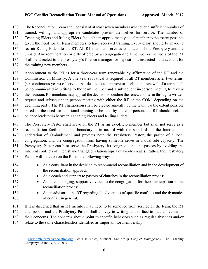The Reconciliation Team shall consist of at least seven members whenever a sufficient number of

- trained, willing, and appropriate candidates present themselves for service. The number of
- Teaching Elders and Ruling Elders should be in approximately equal number to the extent possible
- given the need for all team members to have received training. Every effort should be made to
- recruit Ruling Elders to the RT. All RT members serve as volunteers of the Presbytery and are
- unpaid. Any remuneration or gifts offered by a congregation to a member or members of the RT
- shall be directed to the presbytery's finance manager for deposit in a restricted fund account for
- the training new members.
- Appointment to the RT is for a three-year term renewable by affirmation of the RT and the Commission on Ministry. A one year sabbatical is required of all RT members after two-terms,
- 
- (six continuous years) of service. All decisions to approve or decline the renewal of a term shall
- be communicated in writing to the team member and a subsequent in-person meeting to review
- 142 the decision. RT members may appeal the decision to decline the renewal of term through a written request and subsequent in-person meeting with either the RT or the COM, depending on the
- declining party. The RT chairperson shall be elected annually by the team. To the extent possible
- based on the need for additional training to be held by the chairperson, the RT should seek to
- balance leadership between Teaching Elders and Ruling Elders.
- The Presbytery Pastor shall serve on the RT as an ex-officio member but shall not serve as a reconciliation facilitator. This boundary is in accord with the standards of the International 149 Federation of Ombudsman<sup>1</sup> and protects both the Presbytery Pastor, the pastor of a local congregation, and the congregation from having someone serve in a dual-role capacity. The Presbytery Pastor can best serve the Presbytery, its congregations and pastors by avoiding the inherent conflicts of interest and triangled relationships a dual-role creates. Rather, the Presbytery Pastor will function on the RT in the following ways:
- As a consultant in the decision to recommend reconciliation and in the development of the reconciliation approach.
- As a coach and support to pastors of churches in the reconciliation process.
- As an encouraging, supportive voice to the congregation for their participation in the reconciliation process.
- As an advisor to the RT regarding the dynamics of specific conflicts and the dynamics of conflict in general.
- If it is discerned that an RT member may need to be removed from service on the team, the RT chairperson and the Presbytery Pastor shall convey in writing and in face-to-face conversation their concerns. The concerns should point to specific behaviors such as regular absences and/or relate to the same characteristics identified as important for membership:

 www.ombudsmanassociation.org. See also, Dues, Michael, *The Art of Conflict Management*. The Teaching Company: Chantilly, VA, 2017.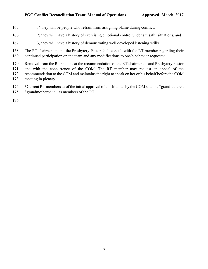- 165 1) they will be people who refrain from assigning blame during conflict,
- 2) they will have a history of exercising emotional control under stressful situations, and
- 3) they will have a history of demonstrating well developed listening skills.
- The RT chairperson and the Presbytery Pastor shall consult with the RT member regarding their continued participation on the team and any modifications to one's behavior requested.

 Removal from the RT shall be at the recommendation of the RT chairperson and Presbytery Pastor and with the concurrence of the COM. The RT member may request an appeal of the recommendation to the COM and maintains the right to speak on her or his behalf before the COM meeting in plenary.

 \*Current RT members as of the initial approval of this Manual by the COM shall be "grandfathered / grandmothered in" as members of the RT.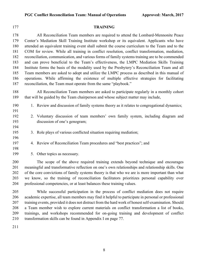| 1/7                                                                | <b>TRATIATIE</b>                                                                                                                                                                                                                                                                                                                                                                                                                                                                                                                                                                                                                                                                                                                                                                                                                                                                                                                                         |
|--------------------------------------------------------------------|----------------------------------------------------------------------------------------------------------------------------------------------------------------------------------------------------------------------------------------------------------------------------------------------------------------------------------------------------------------------------------------------------------------------------------------------------------------------------------------------------------------------------------------------------------------------------------------------------------------------------------------------------------------------------------------------------------------------------------------------------------------------------------------------------------------------------------------------------------------------------------------------------------------------------------------------------------|
| 178<br>179<br>180<br>181<br>182<br>183<br>184<br>185<br>186<br>187 | All Reconciliation Team members are required to attend the Lombard-Mennonite Peace<br>Center's Mediation Skill Training Institute workshop or its equivalent. Applicants who have<br>attended an equivalent training event shall submit the course curriculum to the Team and to the<br>COM for review. While all training in conflict resolution, conflict transformation, mediation,<br>reconciliation, communication, and various forms of family systems training are to be commended<br>and can prove beneficial to the Team's effectiveness, the LMPC Mediation Skills Training<br>Institute forms the basis of the modality used by the Presbytery's Reconciliation Team and all<br>Team members are asked to adopt and utilize the LMPC process as described in this manual of<br>operations. While affirming the existence of multiple effective strategies for facilitating<br>reconciliation, the Team must operate from the same "playbook." |
| 188<br>189                                                         | All Reconciliation Team members are asked to participate regularly in a monthly cohort<br>that will be guided by the Team chairperson and whose subject matter may include,                                                                                                                                                                                                                                                                                                                                                                                                                                                                                                                                                                                                                                                                                                                                                                              |
| 190<br>191                                                         | 1. Review and discussion of family systems theory as it relates to congregational dynamics;                                                                                                                                                                                                                                                                                                                                                                                                                                                                                                                                                                                                                                                                                                                                                                                                                                                              |
| 192<br>193<br>194                                                  | 2. Voluntary discussion of team members' own family system, including diagram and<br>discussion of one's genogram;                                                                                                                                                                                                                                                                                                                                                                                                                                                                                                                                                                                                                                                                                                                                                                                                                                       |
| 195<br>196                                                         | 3. Role plays of various conflicted situation requiring mediation;                                                                                                                                                                                                                                                                                                                                                                                                                                                                                                                                                                                                                                                                                                                                                                                                                                                                                       |
| 197<br>198                                                         | 4. Review of Reconciliation Team procedures and "best practices"; and                                                                                                                                                                                                                                                                                                                                                                                                                                                                                                                                                                                                                                                                                                                                                                                                                                                                                    |
| 199                                                                | 5. Other topics as necessary.                                                                                                                                                                                                                                                                                                                                                                                                                                                                                                                                                                                                                                                                                                                                                                                                                                                                                                                            |
| 200<br>201<br>202<br>203<br>204                                    | The scope of the above required training extends beyond technique and encourages<br>meaningful and transformative reflection on one's own relationships and relationship skills. One<br>of the core convictions of family systems theory is that who we are is more important than what<br>we know, so the training of reconciliation facilitators prioritizes personal capability over<br>professional competencies, or at least balances these training values.                                                                                                                                                                                                                                                                                                                                                                                                                                                                                        |
| 205<br>206<br>207<br>208                                           | While successful participation in the process of conflict mediation does not require<br>academic expertise, all team members may find it helpful to participate in personal or professional<br>training events, provided it does not distract from the hard work of honest self-examination. Should<br>a Team member wish to explore current materials on conflict transformation a list of books,                                                                                                                                                                                                                                                                                                                                                                                                                                                                                                                                                       |

# **TRAINING**

trainings, and workshops recommended for on-going training and development of conflict

transformation skills can be found in Appendix I on page 77.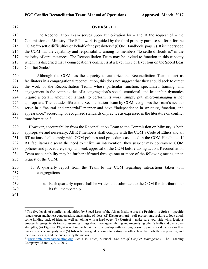# **OVERSIGHT**

213 The Reconciliation Team serves upon authorization by – and at the request of – the Commission on Ministry. The RT's work is guided by the third primary purpose set forth for the COM: "to settle difficulties on behalf of the presbytery" (COM Handbook, page 7). It is understood the COM has the capability and responsibility among its members "to settle difficulties" in the majority of circumstances. The Reconciliation Team may be invited to function in this capacity when it is discerned that a congregation's conflict is at a level three or level four on the Speed Leas 219 Conflict Scale.<sup>2</sup>

 Although the COM has the capacity to authorize the Reconciliation Team to act as facilitators in a congregational reconciliation, this does not suggest that they should seek to direct the work of the Reconciliation Team, whose particular function, specialized training, and engagement in the complexities of a congregation's social, emotional, and leadership dynamics require a certain amount of latitude to perform its work; simply put, micro-managing is not appropriate. The latitude offered the Reconciliation Team by COM recognizes the Team's need to serve in a "neutral and impartial" manner and have "independence in structure, function, and appearance," according to recognized standards of practice as expressed in the literature on conflict 228 transformation.<sup>3</sup>

229 However, accountability from the Reconciliation Team to the Commission on Ministry is both appropriate and necessary. All RT members shall comply with the COM's Code of Ethics and all RT actions shall comply with COM policies and procedures as stated in the COM Handbook. If RT facilitators discern the need to utilize an intervention, they suspect may contravene COM policies and procedures, they will seek approval of the COM before taking action. Reconciliation Team accountability may be further affirmed through one or more of the following means, upon request of the COM:

- 1. A quarterly report from the Team to the COM regarding interactions taken with congregations.
- 

- a. Each quarterly report shall be written and submitted to the COM for distribution to its full membership.
- 

 The five levels of conflict as identified by Speed Leas of the Alban Institute are: (1) **Problem to Solve** – specific issues, open and honest conversation, and sharing of ideas; (2) **Disagreement** – self-protections, seeking to look good, some holding back of ideas as well as joking with a hard edge; (3) **Contest** – make sure your side wins, factions emerge, language tends toward assuming things about, over-generalizing and magnifying other's faults and one's own strengths; (4) **Fight or Flight** – seeking to break the relationship with a strong desire to punish or detach as well as question others' integrity; and (5) **Intractable** – goal becomes to destroy the other; take their job, their reputation, and their well-being, and the ends justify the means.

 www.ombudsmanassociation.org. See also, Dues, Michael, *The Art of Conflict Management*. The Teaching Company: Chantilly, VA, 2017.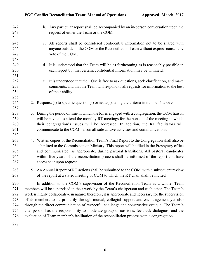| 242<br>243<br>244 | b. Any particular report shall be accompanied by an in-person conversation upon the<br>request of either the Team or the COM. |
|-------------------|-------------------------------------------------------------------------------------------------------------------------------|
| 245               | c. All reports shall be considered confidential information not to be shared with                                             |
| 246               | anyone outside of the COM or the Reconciliation Team without express consent by                                               |
| 247               | vote of the COM.                                                                                                              |
| 248               |                                                                                                                               |
| 249               | d. It is understood that the Team will be as forthcoming as is reasonably possible in                                         |
| 250               | each report but that certain, confidential information may be withheld.                                                       |
| 251               |                                                                                                                               |
| 252               | e. It is understood that the COM is free to ask questions, seek clarification, and make                                       |
| 253               | comments, and that the Team will respond to all requests for information to the best                                          |
| 254               | of their ability.                                                                                                             |
| 255               |                                                                                                                               |
| 256               | 2. Response(s) to specific question(s) or issue(s), using the criteria in number 1 above.                                     |
| 257               |                                                                                                                               |
| 258               | 3. During the period of time in which the RT is engaged with a congregation, the COM liaison                                  |
| 259               | will be invited to attend the monthly RT meetings for the portion of the meeting in which                                     |
| 260               | their congregation's issues will be addressed. In addition, the RT facilitators will                                          |
| 261               | communicate to the COM liaison all substantive activities and communications.                                                 |
| 262               |                                                                                                                               |
| 263               | 4. Written copies of the Reconciliation Team's Final Report to the Congregation shall also be                                 |
| 264               | submitted to the Commission on Ministry. This report will be filed in the Presbytery office                                   |
| 265               | and communicated, as appropriate, during pastoral transitions. All pastoral candidates                                        |
| 266               | within five years of the reconciliation process shall be informed of the report and have                                      |
| 267               | access to it upon request.                                                                                                    |
| 268               | 5. An Annual Report of RT actions shall be submitted to the COM, with a subsequent review                                     |
| 269               | of the report at a stated meeting of COM to which the RT chair shall be invited.                                              |
|                   |                                                                                                                               |
| 270               | In addition to the COM's supervision of the Reconciliation Team as a whole, Team                                              |
| 271               | members will be supervised in their work by the Team's chairperson and each other. The Team's                                 |
| 272               | work is highly collaborative in nature; therefore, it is appropriate and necessary for the supervision                        |
| 273               | of its members to be primarily through mutual, collegial support and encouragement yet also                                   |
| 274               | through the direct communication of respectful challenge and constructive critique. The Team's                                |
| 275               | chairperson has the responsibility to moderate group discussions, feedback dialogues, and the                                 |
| 276               | evaluation of Team member's facilitation of the reconciliation process with a congregation.                                   |
| 277               |                                                                                                                               |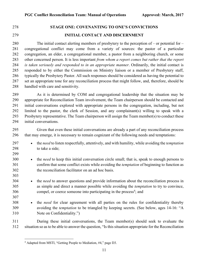# **STAGE ONE: COVENANTING TO ONE'S CONVICTIONS**

# **INITIAL CONTACT AND DISCERNMENT**

280 The initial contact alerting members of presbytery to the perception of – or potential for – congregational conflict may come from a variety of sources: the pastor of a particular congregation, an elder, a congregational member, a pastor from a neighboring church, or some other concerned person. It is less important *from whom a report comes but rather that the report is taken seriously and responded to in an appropriate manner*. Ordinarily, the initial contact is responded to by either the Commission on Ministry liaison or a member of Presbytery staff, typically the Presbytery Pastor. All such responses should be considered as having the potential to set an appropriate tone for any reconciliation process that might follow, and, therefore, should be handled with care and sensitivity.

289 As it is determined by COM and congregational leadership that the situation may be appropriate for Reconciliation Team involvement, the Team chairperson should be contacted and initial conversations explored with appropriate persons in the congregation, including, but not limited to the pastor, the clerk of Session, and any complainant(s) willing to speak with a Presbytery representative. The Team chairperson will assign the Team member(s) to conduct these initial conversations.

 Given that even these initial conversations are already a part of any reconciliation process that may emerge, it is necessary to remain cognizant of the following needs and temptations:

- the *need* to listen respectfully, attentively, and with humility, while avoiding the *temptation* to take a side;
- • the *need* to keep this initial conversation circle small; that is, speak to enough persons to confirm that some conflict exists while avoiding the *temptation* of beginning to function as the reconciliation facilitator on an ad hoc basis.
- the *need* to answer questions and provide information about the reconciliation process in as simple and direct a manner possible while avoiding the *temptation* to try to convince, compel, or coerce someone into participating in the process<sup>4</sup>; and
- 

 • the *need* for clear agreement with all parties on the rules for confidentiality thereby avoiding the *temptation* to be triangled by keeping secrets. (See below, ages 14-16: "A Note on Confidentiality.")

 During these initial conversations, the Team member(s) should seek to evaluate the situation so as to be able to answer the question, "Is this situation appropriate for the Reconciliation

Adapted from MSTI, "Getting People to Mediation, #4," page D3.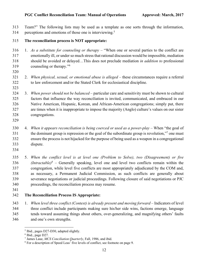Team?" The following lists may be used as a template as one sorts through the information, 314 perceptions and emotions of those one is interviewing.<sup>5</sup>

# **The reconciliation process is NOT appropriate:**

- 1. *As a substitute for counseling or therapy* "When one or several parties to the conflict are emotionally ill, or under so much stress that rational discussion would be impossible, mediation should be avoided or delayed…This does not preclude mediation *in addition to* professional counseling or therapy."6
- 
- 

 2. *When physical, sexual, or emotional abuse is alleged* – these circumstances require a referral to law enforcement and/or the Stated Clerk for ecclesiastical discipline.

 3. *When power should not be balanced* – particular care and sensitivity must be shown to cultural factors that influence the way reconciliation is invited, communicated, and embraced in our Native American, Hispanic, Korean, and African-American congregations; simply put, there are times when it is inappropriate to impose the majority (Anglo) culture's values on our sister congregations.

 4. *When it appears reconciliation is being coerced or used as a power-play –* When "the goal of the dominant group is repression or the goal of the subordinate group is revolution,"<sup>7</sup> one must ensure the process is not hijacked for the purpose of being used as a weapon in a congregational dispute.

 5. *When the conflict level is at level one (Problem to Solve), two (Disagreement) or five (Intractable)<sup>8</sup>* – Generally speaking, level one and level two conflicts remain within the congregation, while level five conflicts are most appropriately adjudicated by the COM and, as necessary, a Permanent Judicial Commission, as such conflicts are generally about severance negotiations or judicial proceedings. Following closure of said negotiations or PJC proceedings, the reconciliation process may resume.

# **The Reconciliation Process IS Appropriate:**

 1. *When level three conflict (Contest) is already present and moving forward* – Indicators of level three conflict include participants making sure his/her side wins, factions emerge, language tends toward assuming things about others, over-generalizing, and magnifying others' faults and one's own strengths.

<sup>&</sup>lt;sup>5</sup> Ibid., pages D27-D30, adapted slightly.

Ibid., page D27.

James Laue, *MCS Conciliation Quarterly*, Fall, 1986, and ibid.

For a description of Speed Leas' five levels of conflict, see footnote on page 9.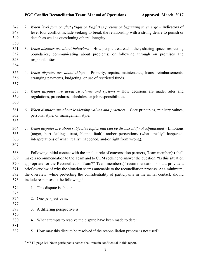- 347 2. *When level four conflict (Fight or Flight) is present or beginning to emerge* Indicators of level four conflict include seeking to break the relationship with a strong desire to punish or detach as well as questioning others' integrity.
- 3. *When disputes are about behaviors* How people treat each other; sharing space; respecting boundaries; communicating about problems; or following through on promises and responsibilities.
- 

- 4. *When disputes are about things –* Property, repairs, maintenance, loans, reimbursements, arranging payments, budgeting, or use of restricted funds.
- 
- 5. *When disputes are about structures and systems –* How decisions are made, rules and regulations, procedures, schedules, or job responsibilities.
- 
- 6. *When disputes are about leadership values and practices* Core principles, ministry values, personal style, or management style.
- 
- 7. *When disputes are about subjective topics that can be discussed if not adjudicated* Emotions (anger, hurt feelings, trust, blame, fault); and/or perceptions (what "really" happened, interpretations of what "really" happened, and/or right from wrong).
- 

 Following initial contact with the small circle of conversation partners, Team member(s) shall make a recommendation to the Team and to COM seeking to answer the question, "Is this situation appropriate for the Reconciliation Team?" Team member(s)' recommendation should provide a brief overview of why the situation seems amenable to the reconciliation process. At a minimum, the overview, while protecting the confidentiality of participants in the initial contact, should 373 include responses to the following:<sup>9</sup>

| 374<br>375 | 1. This dispute is about:                                                      |
|------------|--------------------------------------------------------------------------------|
| 376        | 2. One perspective is:                                                         |
| 377        |                                                                                |
| 378        | 3. A differing perspective is:                                                 |
| 379        |                                                                                |
| 380        | 4. What attempts to resolve the dispute have been made to date:                |
| 381        |                                                                                |
| 382        | 5. How may this dispute be resolved if the reconciliation process is not used? |
|            |                                                                                |

<sup>&</sup>lt;sup>9</sup> MSTI, page D4. Note: participants names shall remain confidential in this report.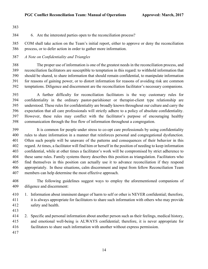6. Are the interested parties open to the reconciliation process?

 COM shall take action on the Team's initial report, either to approve or deny the reconciliation process, or to defer action in order to gather more information.

# *A Note on Confidentiality and Triangles*

388 The proper use of information is one of the greatest needs in the reconciliation process, and reconciliation facilitators are susceptible to temptation in this regard: to withhold information that should be shared, to share information that should remain confidential, to manipulate information for reasons of gaining power, or to distort information for reasons of avoiding risk are common temptations. Diligence and discernment are the reconciliation facilitator's necessary companions.

393 A further difficulty for reconciliation facilitators is the way customary rules for confidentiality in the ordinary pastor-parishioner or therapist-client type relationship are understood. These rules for confidentiality are broadly known throughout our culture and carry the expectation that all care professionals will strictly adhere to a policy of absolute confidentiality. However, these rules may conflict with the facilitator's purpose of encouraging healthy communication through the free flow of information throughout a congregation.

399 It is common for people under stress to co-opt care professionals by using confidentiality rules to share information in a manner that reinforces personal and congregational dysfunction. Often such people will be unaware of the patterns and consequences of their behavior in this regard. At times, a facilitator will find him or herself in the position of needing to keep information confidential, while at other times a facilitator's work will be compromised by strict adherence to these same rules. Family systems theory describes this position as triangulation. Facilitators who find themselves in this position can actually use it to advance reconciliation if they respond appropriately. In these situations, calm discernment and input from fellow Reconciliation Team members can help determine the most effective approach.

408 The following guidelines suggest ways to employ the aforementioned companions of diligence and discernment:

410 1. Information about imminent danger of harm to self or other is NEVER confidential; therefore, it is always appropriate for facilitators to share such information with others who may provide safety and health.

 2. Specific and personal information about another person such as their feelings, medical history, and emotional well-being is ALWAYS confidential; therefore, it is never appropriate for facilitators to share such information with another without express permission.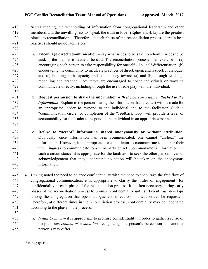3. Secret keeping, the withholding of information from congregational leadership and other members, and the unwillingness to "speak the truth in love" (Ephesians 4:15) are the greatest 420 blocks to reconciliation.<sup>10</sup> Therefore, at each phase of the reconciliation process, certain best practices should guide facilitators:

- a. **Encourage direct communication** say what needs to be said, to whom it needs to be said, in the manner it needs to be said. The reconciliation process is an exercise in (a) encouraging each person to take responsibility for oneself - i.e., self-differentiation, (b) encouraging the community to inculcate practices of direct, open, and respectful dialogue, and (c) building both capacity and competency toward (a) and (b) through teaching, modelling and practice. Facilitators are encouraged to coach individuals on ways to communicate directly, including through the use of role play with the individual.
- b. **Request permission to share the information** *with the person's name attached to the information*. Explain to the person sharing the information that a request will be made for an appropriate leader to respond to the individual and to the facilitator. Such a "communication circle" or completion of the "feedback loop" will provide a level of accountability for the leader to respond to the individual in an appropriate manner.
- 

 c. **Refuse to "accept" information shared anonymously or without attribution**. Obviously, once information has been communicated, one cannot "un-hear" the information. However, it is appropriate for a facilitator to communicate to another their unwillingness to communicate to a third party or act upon anonymous information. In such a circumstance, it is appropriate for the facilitator to seek the other person's verbal acknowledgement that they understand no action will be taken on the anonymous information.

 4. Having noted the need to balance confidentiality with the need to encourage the free flow of congregational communication, it is appropriate to clarify the "rules of engagement" for confidentiality at each phase of the reconciliation process. It is often necessary during early phases of the reconciliation process to promise confidentiality until sufficient trust develops among the congregation that open dialogue and direct communication can be requested. Therefore, at different times in the reconciliation process, confidentiality may be negotiated according to the phase in the process:

 a. *Initial Contact* – it is appropriate to promise confidentiality in order to gather a sense of people's *perceptions of a situation*, recognizing one person's perception and another person's may differ.

Ibid., page F14.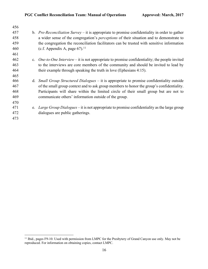| 456 |                                                                                                       |
|-----|-------------------------------------------------------------------------------------------------------|
| 457 | b. <i>Pre-Reconciliation Survey</i> – it is appropriate to promise confidentiality in order to gather |
| 458 | a wider sense of the congregation's <i>perceptions</i> of their situation and to demonstrate to       |
| 459 | the congregation the reconciliation facilitators can be trusted with sensitive information            |
| 460 | (c.f. Appendix A, page $67$ ). <sup>11</sup>                                                          |
| 461 |                                                                                                       |
| 462 | c. <i>One-to-One Interview</i> – it is not appropriate to promise confidentiality; the people invited |
| 463 | to the interviews are core members of the community and should be invited to lead by                  |
| 464 | their example through speaking the truth in love (Ephesians 4:15).                                    |
| 465 |                                                                                                       |
| 466 | d. <i>Small Group Structured Dialogues</i> – it is appropriate to promise confidentiality outside     |
| 467 | of the small group context and to ask group members to honor the group's confidentiality.             |
| 468 | Participants will share within the limited circle of their small group but are not to                 |
| 469 | communicate others' information outside of the group.                                                 |
| 470 |                                                                                                       |
| 471 | e. <i>Large Group Dialogues</i> – it is not appropriate to promise confidentiality as the large group |
| 472 | dialogues are public gatherings.                                                                      |
| 473 |                                                                                                       |
|     |                                                                                                       |

 Ibid., pages F9-10. Used with permission from LMPC for the Presbytery of Grand Canyon use only. May not be reproduced. For information on obtaining copies, contact LMPC.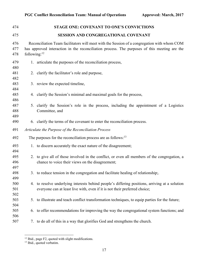| 474               |                          | <b>STAGE ONE: COVENANT TO ONE'S CONVICTIONS</b>                                                                                                                                             |
|-------------------|--------------------------|---------------------------------------------------------------------------------------------------------------------------------------------------------------------------------------------|
| 475               |                          | SESSION AND CONGREGATIONAL COVENANT                                                                                                                                                         |
| 476<br>477<br>478 | following: <sup>12</sup> | Reconciliation Team facilitators will meet with the Session of a congregation with whom COM<br>has approved interaction in the reconciliation process. The purposes of this meeting are the |
| 479<br>480        |                          | 1. articulate the purposes of the reconciliation process,                                                                                                                                   |
| 481<br>482        |                          | 2. clarify the facilitator's role and purpose,                                                                                                                                              |
| 483<br>484        |                          | 3. review the expected timeline,                                                                                                                                                            |
| 485<br>486        |                          | 4. clarify the Session's minimal and maximal goals for the process,                                                                                                                         |
| 487<br>488<br>489 |                          | 5. clarify the Session's role in the process, including the appointment of a Logistics<br>Committee, and                                                                                    |
| 490               |                          | 6. clarify the terms of the covenant to enter the reconciliation process.                                                                                                                   |
| 491               |                          | Articulate the Purpose of the Reconciliation Process                                                                                                                                        |
| 492               |                          | The purposes for the reconciliation process are as follows: <sup>13</sup>                                                                                                                   |
| 493<br>494        |                          | 1. to discern accurately the exact nature of the disagreement;                                                                                                                              |
| 495<br>496<br>497 |                          | 2. to give all of those involved in the conflict, or even all members of the congregation, a<br>chance to voice their views on the disagreement;                                            |
| 498<br>499        |                          | 3. to reduce tension in the congregation and facilitate healing of relationship;.                                                                                                           |
| 500<br>501<br>502 |                          | 4. to resolve underlying interests behind people's differing positions, arriving at a solution<br>everyone can at least live with, even if it is not their preferred choice;                |
| 503<br>504        |                          | 5. to illustrate and teach conflict transformation techniques, to equip parties for the future;                                                                                             |
| 505<br>506        | 6.                       | to offer recommendations for improving the way the congregational system functions; and                                                                                                     |
| 507               |                          | 7. to do all of this in a way that glorifies God and strengthens the church.                                                                                                                |

 $\frac{12 \text{ Ibid., page F2, quoted with slight modifications.}}$ 

<sup>&</sup>lt;sup>13</sup> Ibid., quoted verbatim.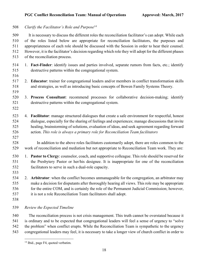508 Clarify the Facilitator's Role and Purpose<sup>14</sup>

509 It is necessary to discuss the different roles the reconciliation facilitator's can adopt. While each of the roles listed below are appropriate for reconciliation facilitators, the purposes and appropriateness of each role should be discussed with the Session in order to hear their counsel. However, it is the facilitator's decision regarding which role they will adopt for the different phases of the reconciliation process.

- 1. **Fact-Finder**: identify issues and parties involved, separate rumors from facts, etc.; identify destructive patterns within the congregational system.
- 

- 2. **Educator**: trainer for congregational leaders and/or members in conflict transformation skills and strategies, as well as introducing basic concepts of Bowen Family Systems Theory.
- 3. **Process Consultant**: recommend processes for collaborative decision-making; identify destructive patterns within the congregational system.
- 
- 4. **Facilitator**: manage structured dialogues that create a safe environment for respectful, honest dialogue, especially for the sharing of feelings and experiences; manage discussions that invite healing, brainstorming of solutions, evaluation of ideas, and seek agreement regarding forward action. *This role is always a primary role for Reconciliation Team facilitators*
- 
- In addition to the above roles facilitators customarily adopt, there are roles common to the work of reconciliation and mediation but not appropriate to Reconciliation Team work. They are:
- 1. **Pastor to Clergy**: counselor, coach, and supportive colleague. This role should be reserved for the Presbytery Pastor or her/his designee. It is inappropriate for one of the reconciliation facilitators to serve in such a dual-role capacity.
- 

 2. **Arbitrator**: when the conflict becomes unmanageable for the congregation, an arbitrator may make a decision for disputants after thoroughly hearing all views. This role may be appropriate for the entire COM, and is certainly the role of the Permanent Judicial Commission; however, it is not a role Reconciliation Team facilitators shall adopt.

*Review the Expected Timeline*

540 The reconciliation process is not crisis management. This truth cannot be overstated because it is ordinary and to be expected that congregational leaders will feel a sense of urgency to "solve the problem" when conflict erupts. While the Reconciliation Team is sympathetic to the urgency congregational leaders may feel, it is necessary to take a longer view of church conflict in order to

<sup>&</sup>lt;sup>14</sup> Ibid., page F4, quoted verbatim.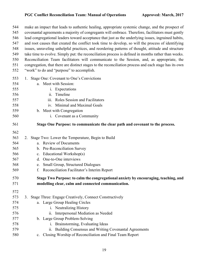| 544<br>545 | make an impact that leads to authentic healing, appropriate systemic change, and the prospect of<br>covenantal agreements a majority of congregants will embrace. Therefore, facilitators must gently     |
|------------|-----------------------------------------------------------------------------------------------------------------------------------------------------------------------------------------------------------|
|            |                                                                                                                                                                                                           |
| 546<br>547 | lead congregational leaders toward acceptance that just as the underlying issues, ingrained habits,<br>and root causes that created the conflict took time to develop, so will the process of identifying |
| 548        | issues, unraveling unhelpful practices, and reordering patterns of thought, attitude and structure                                                                                                        |
| 549        | take time to evolve. Simply put: the reconciliation process is defined in months rather than weeks.                                                                                                       |
| 550        | Reconciliation Team facilitators will communicate to the Session, and, as appropriate, the                                                                                                                |
| 551        | congregation, that there are distinct stages to the reconciliation process and each stage has its own                                                                                                     |
| 552        | "work" to do and "purpose" to accomplish.                                                                                                                                                                 |
| 553        | 1. Stage One: Covenant to One's Convictions                                                                                                                                                               |
| 554        | a. Meet with Session:                                                                                                                                                                                     |
| 555        | i. Expectations                                                                                                                                                                                           |
| 556        | Timeline<br>11.                                                                                                                                                                                           |
| 557        | Roles Session and Facilitators<br>iii.                                                                                                                                                                    |
| 558        | iv. Minimal and Maximal Goals                                                                                                                                                                             |
| 559        | b. Meet with Congregation                                                                                                                                                                                 |
| 560        | i. Covenant as a Community                                                                                                                                                                                |
| 561        | Stage One Purpose: to communicate the clear path and covenant to the process.                                                                                                                             |
| 562        |                                                                                                                                                                                                           |
| 563        | Stage Two: Lower the Temperature, Begin to Build<br>2.                                                                                                                                                    |
| 564        | a. Review of Documents                                                                                                                                                                                    |
| 565        | b. Pre-Reconciliation Survey                                                                                                                                                                              |
| 566        | c. Educational Workshop(s)                                                                                                                                                                                |
| 567        | d. One-to-One interviews                                                                                                                                                                                  |
| 568        | <b>Small Group, Structured Dialogues</b><br>e.                                                                                                                                                            |
| 569        | Reconciliation Facilitator's Interim Report<br>f.                                                                                                                                                         |
| 570        | Stage Two Purpose: to calm the congregational anxiety by encouraging, teaching, and                                                                                                                       |
| 571        | modelling clear, calm and connected communication.                                                                                                                                                        |
| 572        |                                                                                                                                                                                                           |
| 573        | Stage Three: Engage Creatively, Connect Constructively<br>3.                                                                                                                                              |
| 574        | a. Large Group Healing Circles                                                                                                                                                                            |
| 575        | Neutralizing History<br>1.                                                                                                                                                                                |
| 576        | Interpersonal Mediation as Needed<br>$\overline{\mathbf{11}}$ .                                                                                                                                           |
| 577        | b. Large Group Problem-Solving                                                                                                                                                                            |
| 578        | Brainstorming, Evaluating Ideas<br>1.                                                                                                                                                                     |
| 579        | Building Consensus and Writing Covenantal Agreements<br>ii.                                                                                                                                               |
| 580        | Closing Worship of Reconciliation and Final Team Report<br>$c_{\cdot}$                                                                                                                                    |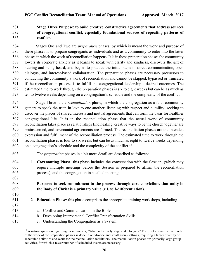# **Stage Three Purpose: to build creative, constructive agreements that address sources of congregational conflict, especially foundational sources of repeating patterns of conflict.**

584 Stages One and Two are *preparation* phases, by which is meant the work and purpose of these phases is to prepare congregants as individuals and as a community to enter into the latter phases in which the work of reconciliation happens. It is in these preparation phases the community lowers its corporate anxiety as it learns to speak with clarity and kindness, discovers the gift of hearing and being heard, and begins to practice the initial steps of direct communication, open dialogue, and interest-based collaboration. The preparation phases are necessary precursors to conducting the community's work of reconciliation and cannot be skipped, bypassed or truncated if the reconciliation process is to fulfill the congregational leadership's desired outcomes. The estimated time to work through the preparation phases is six to eight weeks but can be as much as ten to twelve weeks depending on a congregation's schedule and the complexity of the conflict.

594 Stage Three is the *reconciliation* phase, in which the congregation as a faith community gathers to speak the truth in love to one another, listening with respect and humility, seeking to discover the places of shared interests and mutual agreements that can form the basis for healthier congregational life. It is in the reconciliation phase that the actual work of community reconciliation takes place as relationships find healing, creative ways to be the church together are brainstormed, and covenantal agreements are formed. The reconciliation phases are the intended expression and fulfillment of the reconciliation process. The estimated time to work through the reconciliation phases is four to six weeks but can be as much as eight to twelve weeks depending 602 on a congregation's schedule and the complexity of the conflict.<sup>15</sup>

- The *preparation* phases in a bit more detail are described as follows:
- 1. **Covenanting Phase**: this phase includes the conversation with the Session, (which may require multiple meetings before the Session is prepared to affirm the reconciliation process), and the congregation in a called meeting.

# **Purpose: to seek commitment to the process through core convictions that unity in the Body of Christ is a primary value (c.f. self-differentiation).**

- 2. **Education Phase**: this phase comprises the appropriate training workshops, including
- a. Conflict and Communication in the Bible
- b. Developing Interpersonal Conflict Transformation Skills
- c. Understanding the Congregation as a System

<sup>&</sup>lt;sup>15</sup> A natural question regarding these times is, "Why do the early stages take longer?" The brief answer is that much of the work of the preparation phases is done in one-to-one and small group settings, requiring a larger quantity of scheduled activities and work for the reconciliation facilitators. The reconciliation phases are primarily large group activities, for which a fewer number of scheduled events are necessary.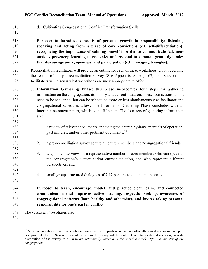- d. Cultivating Congregational Conflict Transformation Skills
- 

 **Purpose: to introduce concepts of personal growth in responsibility: listening, speaking and acting from a place of core convictions (c.f. self-differentiation); recognizing the importance of calming oneself in order to communicate (c.f. non-**

- **anxious presence); learning to recognize and respond to common group dynamics that discourage unity, openness, and participation (c.f. managing triangles).**
- Reconciliation facilitators will provide an outline for each of these workshops. Upon receiving the results of the pre-reconciliation survey (See Appendix A, page 67), the Session and facilitators will discuss what workshops are most appropriate to offer.
- 3. **Information Gathering Phase**: this phase incorporates four steps for gathering information on the congregation, its history and current situation. These four actions do not need to be sequential but can be scheduled more or less simultaneously as facilitator and congregational schedules allow. The Information Gathering Phase concludes with an interim assessment report, which is the fifth step. The four acts of gathering information are:
- 1. a review of relevant documents, including the church by-laws, manuals of operation, past minutes, and/or other pertinent documents;<sup>16</sup>
- 2. a pre-reconciliation survey sent to all church members and "congregational friends";
- 3. telephone interviews of a representative number of core members who can speak to the congregation's history and/or current situation, and who represent different perspectives; and
- 4. small group structured dialogues of 7-12 persons to document interests.
- **Purpose: to teach, encourage, model, and practice clear, calm, and connected communication that improves active listening, respectful seeking, awareness of congregational patterns (both healthy and otherwise), and invites taking personal responsibility for one's part in conflict.**
- The *reconciliation* phases are:
- 

<sup>&</sup>lt;sup>16</sup> Most congregations have people who are long-time participants who have not officially joined into membership. It is appropriate for the Session to decide to whom the survey will be sent, but facilitators should encourage a wide distribution of the survey to all who are *relationally involved in the social networks, life and ministry of the congregation.*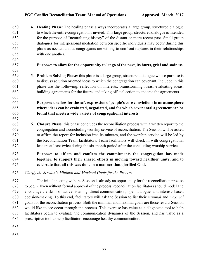4. **Healing Phase**: The healing phase always incorporates a large group, structured dialogue to which the entire congregation is invited. Thislarge group, structured dialogue is intended for the purpose of "neutralizing history" of the distant or more recent past. Small group dialogues for interpersonal mediation between specific individuals may occur during this phase as needed and as congregants are willing to confront ruptures in their relationships with one another.

- 
- 

**Purpose: to allow for the opportunity to let go of the past, its hurts, grief and sadness.**

 5. **Problem Solving Phase**: this phase is a large group, structured dialogue whose purpose is to discuss solution oriented ideas to which the congregation can covenant. Included in this phase are the following: reflection on interests, brainstorming ideas, evaluating ideas, building agreements for the future, and taking official action to endorse the agreements.

# **Purpose: to allow for the safe expression of people's core convictions in an atmosphere where ideas can be evaluated, negotiated, and for which covenantal agreement can be found that meets a wide variety of congregational interests.**

 6. **Closure Phase**: this phase concludes the reconciliation process with a written report to the congregation and a concluding worship service of reconciliation. The Session will be asked to affirm the report for inclusion into its minutes, and the worship service will be led by the Reconciliation Team facilitators. Team facilitators will check-in with congregational leaders at least twice during the six-month period after the concluding worship service.

# **Purpose: to affirm and confirm the commitments the congregation has made together, to support their shared efforts in moving toward healthier unity, and to celebrate that all this was done in a manner that glorified God.**

*Clarify the Session's Minimal and Maximal Goals for the Process*

677 The initial meeting with the Session is already an opportunity for the reconciliation process to begin. Even without formal approval of the process, reconciliation facilitators should model and encourage the skills of active listening, direct communication, open dialogue, and interests based decision-making. To this end, facilitators will ask the Session to list their *minimal* and *maximal* goals for the reconciliation process. Both the minimal and maximal goals are those results Session would like to see occur through the process. This exercise has value as a diagnostic tool to help facilitators begin to evaluate the communication dynamics of the Session, and has value as a proscriptive tool to help facilitators encourage healthy communication.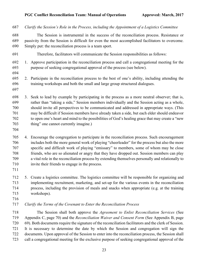| 687                                           | Clarify the Session's Role in the Process, including the Appointment of a Logistics Committee                                                                                                                                                                                                                                                                                                                                                                                                                                                     |  |  |
|-----------------------------------------------|---------------------------------------------------------------------------------------------------------------------------------------------------------------------------------------------------------------------------------------------------------------------------------------------------------------------------------------------------------------------------------------------------------------------------------------------------------------------------------------------------------------------------------------------------|--|--|
| 688<br>689<br>690                             | The Session is instrumental in the success of the reconciliation process. Resistance or<br>passivity from the Session is difficult for even the most accomplished facilitators to overcome.<br>Simply put: the reconciliation process is a team sport.                                                                                                                                                                                                                                                                                            |  |  |
| 691                                           | Therefore, facilitators will communicate the Session responsibilities as follows:                                                                                                                                                                                                                                                                                                                                                                                                                                                                 |  |  |
| 692<br>693<br>694                             | 1. Approve participation in the reconciliation process and call a congregational meeting for the<br>purpose of seeking congregational approval of the process (see below).                                                                                                                                                                                                                                                                                                                                                                        |  |  |
| 695<br>696<br>697                             | Participate in the reconciliation process to the best of one's ability, including attending the<br>2.<br>training workshops and both the small and large group structured dialogues.                                                                                                                                                                                                                                                                                                                                                              |  |  |
| 698<br>699<br>700<br>701<br>702<br>703<br>704 | 3. Seek to lead by example by participating in the process as a more neutral observer; that is,<br>rather than "taking a side," Session members individually and the Session acting as a whole,<br>should invite all perspectives to be communicated and addressed in appropriate ways. (This<br>may be difficult if Session members have already taken a side, but each elder should endeavor<br>to open one's heart and mind to the possibilities of God's healing grace that may create a "new<br>thing" one cannot currently imagine.)        |  |  |
| 705<br>706<br>707<br>708<br>709<br>710<br>711 | 4. Encourage the congregation to participate in the reconciliation process. Such encouragement<br>includes both the more general work of playing "cheerleader" for the process but also the more<br>specific and difficult work of playing "emissary" to members, some of whom may be close<br>friends, who are so alienated or angry that they have dropped out. Session members can play<br>a vital role in the reconciliation process by extending themselves personally and relationally to<br>invite their friends to engage in the process. |  |  |
| 712<br>713<br>714<br>715<br>716               | 5. Create a logistics committee. The logistics committee will be responsible for organizing and<br>implementing recruitment, marketing, and set-up for the various events in the reconciliation<br>process, including the provision of meals and snacks when appropriate (e.g. at the training<br>workshops).                                                                                                                                                                                                                                     |  |  |
| 717                                           | Clarify the Terms of the Covenant to Enter the Reconciliation Process                                                                                                                                                                                                                                                                                                                                                                                                                                                                             |  |  |
| 718<br>719<br>720<br>721                      | The Session shall both approve the Agreement to Enlist Reconciliation Services (See<br>Appendix C, page 70) and the <i>Reconciliation Waiver and Consent Form</i> (See Appendix B, page<br>69). Both documents require the signature of the reconciliation facilitators and the clerk of Session.<br>It is necessary to determine the date by which the Session and congregation will sign the                                                                                                                                                    |  |  |

 documents. Upon approval of the Session to enter into the reconciliation process, the Session shall call a congregational meeting for the exclusive purpose of seeking congregational approval of the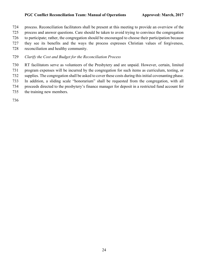process. Reconciliation facilitators shall be present at this meeting to provide an overview of the process and answer questions. Care should be taken to avoid trying to convince the congregation

to participate; rather, the congregation should be encouraged to choose their participation because

they see its benefits and the ways the process expresses Christian values of forgiveness,

reconciliation and healthy community.

# *Clarify the Cost and Budget for the Reconciliation Process*

 RT facilitators serve as volunteers of the Presbytery and are unpaid. However, certain, limited program expenses will be incurred by the congregation for such items as curriculum, testing, or supplies. The congregation shall be asked to cover these costs during this initial covenanting phase.

In addition, a sliding scale "honorarium" shall be requested from the congregation, with all

proceeds directed to the presbytery's finance manager for deposit in a restricted fund account for

the training new members.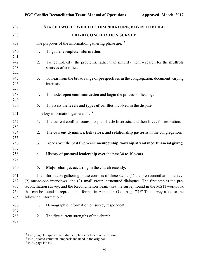| 737        |    | STAGE TWO: LOWER THE TEMPERATURE, BEGIN TO BUILD                                                                 |
|------------|----|------------------------------------------------------------------------------------------------------------------|
| 738        |    | PRE-RECONCILIATION SURVEY                                                                                        |
| 739        |    | The purposes of the information gathering phase are: $17$                                                        |
| 740        | 1. | To gather complete information.                                                                                  |
| 741        |    |                                                                                                                  |
| 742<br>743 | 2. | To 'complexify' the problems, rather than simplify them – search for the <b>multiple</b><br>sources of conflict. |
| 744        |    |                                                                                                                  |
| 745        | 3. | To hear from the broad range of <b>perspectives</b> in the congregation; document varying                        |
| 746        |    | interests.                                                                                                       |
| 747        |    |                                                                                                                  |
| 748        | 4. | To model open communication and begin the process of healing.                                                    |
| 749<br>750 | 5. | To assess the levels and types of conflict involved in the dispute.                                              |
| 751        |    | The key information gathered is: $18$                                                                            |
| 752        | 1. | The current conflict issues, people's basic interests, and their ideas for resolution.                           |
| 753        |    |                                                                                                                  |
| 754        | 2. | The current dynamics, behaviors, and relationship patterns in the congregation.                                  |
| 755        |    |                                                                                                                  |
| 756        | 3. | Trends over the past five years: membership, worship attendance, financial giving.                               |
| 757        |    |                                                                                                                  |
| 758<br>759 | 4. | History of <b>pastoral leadership</b> over the past 30 to 40 years.                                              |
| 760        | 5. | Major changes occurring in the church recently.                                                                  |
| 761        |    | The information gathering phase consists of three steps: (1) the pre-reconciliation survey,                      |
| 762        |    | (2) one-to-one interviews, and (3) small group, structured dialogues. The first step is the pre-                 |
| 763        |    | reconciliation survey, and the Reconciliation Team uses the survey found in the MSTI workbook                    |
| 764        |    | that can be found in reproducible format in Appendix G on page 75. <sup>19</sup> The survey asks for the         |
| 765        |    | following information:                                                                                           |
| 766        | 1. | Demographic information on survey respondent,                                                                    |
| 767        |    |                                                                                                                  |
| 768        | 2. | The five current strengths of the church,                                                                        |
| 769        |    |                                                                                                                  |

<sup>&</sup>lt;sup>17</sup> Ibid., page F7, quoted verbatim, emphasis included in the original.

<sup>&</sup>lt;sup>18</sup> Ibid., quoted verbatim, emphasis included in the original.

<sup>&</sup>lt;sup>19</sup> Ibid., page F9-10.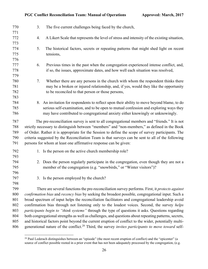| 770<br>771        | 3.                                                                                                                                                                                                | The five current challenges being faced by the church,                                                                                                                                        |  |
|-------------------|---------------------------------------------------------------------------------------------------------------------------------------------------------------------------------------------------|-----------------------------------------------------------------------------------------------------------------------------------------------------------------------------------------------|--|
| 772               | 4.                                                                                                                                                                                                | A Likert Scale that represents the level of stress and intensity of the existing situation,                                                                                                   |  |
| 773<br>774<br>775 | 5.                                                                                                                                                                                                | The historical factors, secrets or repeating patterns that might shed light on recent<br>tensions,                                                                                            |  |
| 776               |                                                                                                                                                                                                   |                                                                                                                                                                                               |  |
| 777               | 6.                                                                                                                                                                                                | Previous times in the past when the congregation experienced intense conflict, and,                                                                                                           |  |
| 778<br>779        |                                                                                                                                                                                                   | if so, the issues, approximate dates, and how well each situation was resolved,                                                                                                               |  |
| 780<br>781        | 7.                                                                                                                                                                                                | Whether there are any persons in the church with whom the respondent thinks there<br>may be a broken or injured relationship, and, if yes, would they like the opportunity                    |  |
| 782<br>783        |                                                                                                                                                                                                   | to be reconciled to that person or those persons,                                                                                                                                             |  |
| 784               |                                                                                                                                                                                                   | 8. An invitation for respondents to reflect upon their ability to move beyond blame, to do                                                                                                    |  |
| 785               |                                                                                                                                                                                                   | serious self-examination, and to be open to mutual confession and exploring ways they                                                                                                         |  |
| 786               |                                                                                                                                                                                                   | may have contributed to congregational anxiety either knowingly or unknowingly.                                                                                                               |  |
| 787<br>788        |                                                                                                                                                                                                   | The pre-reconciliation survey is sent to all congregational members and "friends." It is not<br>strictly necessary to distinguish between "members" and "non-members," as defined in the Book |  |
| 789               |                                                                                                                                                                                                   | of Order. Rather it is appropriate for the Session to define the scope of survey participants. The                                                                                            |  |
| 790               |                                                                                                                                                                                                   | criteria suggested by the Reconciliation Team is that surveys can be sent to all of the following                                                                                             |  |
| 791               |                                                                                                                                                                                                   | persons for whom at least one affirmative response can be given:                                                                                                                              |  |
| 792<br>793        |                                                                                                                                                                                                   | 1. Is the person on the active church membership role?                                                                                                                                        |  |
| 794<br>795        |                                                                                                                                                                                                   | 2. Does the person regularly participate in the congregation, even though they are not a<br>member of the congregation (e.g. "snowbirds," or "Winter visitors")?                              |  |
| 796               |                                                                                                                                                                                                   |                                                                                                                                                                                               |  |
| 797               |                                                                                                                                                                                                   | 3. Is the person employed by the church?                                                                                                                                                      |  |
| 798               |                                                                                                                                                                                                   |                                                                                                                                                                                               |  |
| 799               |                                                                                                                                                                                                   | There are several functions the pre-reconciliation survey performs. First, it <i>protects against</i>                                                                                         |  |
| 800<br>801        |                                                                                                                                                                                                   | confirmation bias and recency bias by seeking the broadest possible, congregational input. Such a                                                                                             |  |
| 802               | broad spectrum of input helps the reconciliation facilitators and congregational leadership avoid<br>confirmation bias through not listening only to the loudest voices. Second, the survey helps |                                                                                                                                                                                               |  |
| 803               | participants begin to "think systems" through the type of questions it asks. Questions regarding                                                                                                  |                                                                                                                                                                                               |  |
| 804               |                                                                                                                                                                                                   | both congregational strengths as well as challenges, and questions about repeating patterns, secrets,                                                                                         |  |
| 805               |                                                                                                                                                                                                   | and historical factors point beyond the current eruption of conflict to the wider, potentially multi-                                                                                         |  |
| 806               |                                                                                                                                                                                                   | generational nature of the conflict. <sup>20</sup> Third, the survey invites participants to move toward self-                                                                                |  |

<sup>&</sup>lt;sup>20</sup> Paul Lederach distinguishes between an "episode" (the most recent eruption of conflict) and the "epicenter" (a source of conflict possible rooted in a prior event that has not been adequately processed by the congregation, (e.g.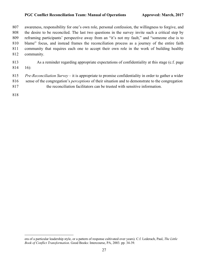awareness, responsibility for one's own role, personal confession, the willingness to forgive, and the desire to be reconciled. The last two questions in the survey invite such a critical step by reframing participants' perspective away from an "it's not my fault," and "someone else is to blame" focus, and instead frames the reconciliation process as a journey of the entire faith community that requires each one to accept their own role in the work of building healthy community.

- As a reminder regarding appropriate expectations of confidentiality at this stage (c.f. page
- 16):
- *Pre-Reconciliation Survey* it is appropriate to promise confidentiality in order to gather a wider sense of the congregation's *perceptions* of their situation and to demonstrate to the congregation the reconciliation facilitators can be trusted with sensitive information.
- 
- 

era of a particular leadership style, or a pattern of response cultivated over years). C.f. Lederach, Paul, *The Little Book of Conflict Transformation*. Good Books: Intercourse, PA, 2003. pp. 34-39.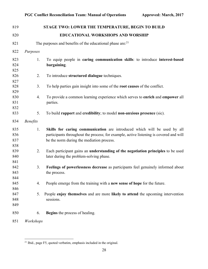| 819                      |                 | STAGE TWO: LOWER THE TEMPERATURE, BEGIN TO BUILD                                                                                                                                                                |
|--------------------------|-----------------|-----------------------------------------------------------------------------------------------------------------------------------------------------------------------------------------------------------------|
| 820                      |                 | EDUCATIONAL WORKSHOPS AND WORSHIP                                                                                                                                                                               |
| 821                      |                 | The purposes and benefits of the educational phase are: <sup>21</sup>                                                                                                                                           |
| 822                      | Purposes        |                                                                                                                                                                                                                 |
| 823<br>824<br>825        | 1.              | To equip people in caring communication skills: to introduce interest-based<br>bargaining.                                                                                                                      |
| 826<br>827               | 2.              | To introduce structured dialogue techniques.                                                                                                                                                                    |
| 828<br>829               | 3.              | To help parties gain insight into some of the root causes of the conflict.                                                                                                                                      |
| 830<br>831<br>832        | 4.              | To provide a common learning experience which serves to enrich and empower all<br>parties.                                                                                                                      |
| 833                      | 5.              | To build rapport and credibility; to model non-anxious presence (sic).                                                                                                                                          |
| 834                      | <b>Benefits</b> |                                                                                                                                                                                                                 |
| 835<br>836<br>837<br>838 | 1.              | Skills for caring communication are introduced which will be used by all<br>participants throughout the process; for example, active listening is covered and will<br>be the norm during the mediation process. |
| 839<br>840<br>841        | 2.              | Each participant gains an understanding of the negotiation principles to be used<br>later during the problem-solving phase.                                                                                     |
| 842<br>843<br>844        | 3.              | Feelings of powerlessness decrease as participants feel genuinely informed about<br>the process.                                                                                                                |
| 845<br>846               | 4.              | People emerge from the training with a new sense of hope for the future.                                                                                                                                        |
| 847<br>848<br>849        | 5.              | People enjoy themselves and are more likely to attend the upcoming intervention<br>sessions.                                                                                                                    |
| 850                      | 6.              | <b>Begins</b> the process of healing.                                                                                                                                                                           |
| 851                      | Workshops       |                                                                                                                                                                                                                 |

<sup>&</sup>lt;sup>21</sup> Ibid., page F5, quoted verbatim, emphasis included in the original.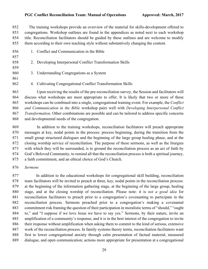852 The training workshops provide an overview of the material for skills-development offered to congregations. Workshop outlines are found in the appendices as noted next to each workshop title. Reconciliation facilitators should be guided by these outlines and are welcome to modify them according to their own teaching style without substantively changing the content.

 1. Conflict and Communication in the Bible 2. Developing Interpersonal Conflict Transformation Skills 3. Understanding Congregations as a System 4. Cultivating Congregational Conflict Transformation Skills

 Upon receiving the results of the pre-reconciliation survey, the Session and facilitators will discuss what workshops are most appropriate to offer. It is likely that two or more of these workshops can be combined into a single, congregational training event. For example, the *Conflict and Communication in the Bible* workshop pairs well with *Developing Interpersonal Conflict Transformation*. Other combinations are possible and can be tailored to address specific concerns and developmental needs of the congregation.

 In addition to the training workshops, reconciliation facilitators will preach appropriate messages at key, nodal points in the process: process beginning, during the transition from the small group structured dialogues and the beginning of the large group healing phase, and at the closing worship service of reconciliation. The purpose of these sermons, as well as the liturgies with which they will be surrounded, is to ground the reconciliation process as an act of faith by God's Beloved Community, to remind all that the reconciliation process is both a spiritual journey, a faith commitment, and an ethical choice of God's Church.

*Sermons*

877 In addition to the educational workshops for congregational skill building, reconciliation team facilitators will be invited to preach at three, key, nodal points in the reconciliation process: at the beginning of the information gathering stage, at the beginning of the large group, healing stage, and at the closing worship of reconciliation. Please note: it is *not a good idea* for reconciliation facilitators to preach prior to a congregation's covenanting to participate in the reconciliation process. Sermons preached prior to a congregation's making a covenantal commitment risk framing the question of their participation in moralistic terms of "should," "ought to," and "I suppose if we love Jesus we have to say yes." Sermons, by their nature, invite an amplification of a community's response, and it is in the best interest of the congregation to invite their response without amplification when asking them to commit to the kind of serious, extensive work of the reconciliation process. In family systems theory terms, reconciliation facilitators want first to lower congregational anxiety through calm presentation of factual material, measured dialogue, and open communication; actions more appropriate for presentation at a congregational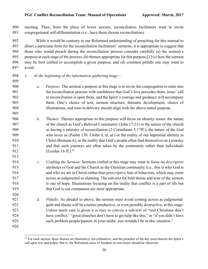meeting. Then, from the place of lower anxiety, reconciliation facilitators want to invite congregational self-differentiation (i.e., have them choose reconciliation).

892 While it would be contrary to our Reformed understanding of preaching for this manual to direct a particular form for the reconciliation facilitators' sermons, it is appropriate to suggest that those who would preach during the reconciliation process consider carefully (a) the sermon's 895 purpose at each stage of the process, (b) themes appropriate for this purpose,  $[1]$  (c) how the sermon may be best crafted to accomplish a given purpose, and (d) common pitfalls one may want to avoid.

*1. At the beginning of the information gathering stage* –

- *a. Purpose:* The sermon's purpose at this stage is to invite the congregation to enter into the reconciliation process with confidence that God's love precedes them, Jesus' call to reconciliation is upon them, and the Spirit's courage and guidance will accompany them. One's choice of text, sermon structure, thematic development, choice of illustrations, and tone in delivery should align with the above stated purpose.
- *b. Themes:* Themes appropriate to this purpose will focus on identity issues: the nature of the church as God's Beloved Community (John 17:21) or the nature of the church as having a ministry of reconciliation (2 Corinthians 5:17ff.); the nature of the God who loves us (Psalm 139, I John 4, et. al.) or the reality of our baptismal identity in Christ (Romans 6); or the reality that God's people often find themselves on a journey and that such journeys are often taken by the community rather than individuals 912 (Exodus 16 ff.).<sup>22</sup>
- *c. Crafting the Sermon:* Sermons crafted at this stage may want to focus on *descriptive* attributes of God and the Church as the Christian community (i.e., this is who God is and who we are in Christ) rather than *proscriptive* lists of behaviors, which may come across as judgmental or shaming. The sub-text for both theme and tone of the sermon is one of hope. Illustrations focusing on the reality that conflict is a part of life but that God is our companion are most appropriate.
- *d. Pitfalls:* As alluded to above, the sermon must avoid coming across as judgmental: guilt and shame will be counter-productive, or even possibly destructive, at this stage. Unless much care is given it is easy to convey a sub-text of "real Christians don't have conflict," "good churches don't have to get help like this," or "if you didn't have such problem people/pastors in your midst, you wouldn't be in this situation."
- 

<sup>&</sup>lt;sup>22</sup> For each section, these themes are illustrative, not exhaustive, and the preacher of the day must discern the Spirit's call upon text and pulpit; that is, the Reformed sense of freedom in conviction should be observed.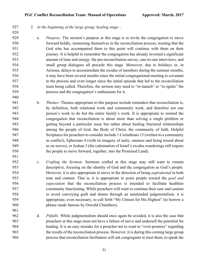## 2. *At the beginning of the large group, healing stage* –

 a. *Purpose:* The sermon's purpose at this stage is to invite the congregation to move forward boldly, immersing themselves in the reconciliation process, trusting that the God who has accompanied them to this point will continue with them on their journey. It is helpful to remember the congregation has already invested a significant amount of time and energy: the pre-reconciliation survey, one-to-one interviews, and small group dialogues all precede this stage. Moreover, due to holidays or, in Arizona, delays to accommodate the exodus of members during the summer months, it may have been several months since the initial congregational meeting to covenant to the process and even longer since the initial episode that led to the reconciliation team being called. Therefore, the sermon may need to "re-launch" or "re-ignite" the process and the congregation's enthusiasm for it.

- b. *Themes:* Themes appropriate to this purpose include reminders that reconciliation is, by definition, both relational work and community work, and therefore not one person's work to do but the entire family's work. It is appropriate to remind the congregation that reconciliation is about more than solving a single problem or getting beyond a particular issue but rather about healing fractured relationships among the people of God, the Body of Christ, the community of faith. Helpful Scriptures for preachers to consider include 1 Corinthians 13 (written to a community in conflict), Ephesians 4 (with its imagery of unity, oneness and being tossed about as on waves), or Joshua 3 (the culmination of Israel's exodus wanderings still require the people to move forward, together, into the Promised Land).
- c. *Crafting the Sermon:* Sermons crafted at this stage may still want to remain descriptive, focusing on the identity of God and the congregation as God's people. However, it is also appropriate to move in the direction of being *aspirational* in both tone and content. That is, it is appropriate to point people toward the *goal and expectation* that the reconciliation process is intended to facilitate healthier community functioning. While preachers will want to continue their care and caution to avoid conveying guilt and shame through an unintended judgmentalism, it is appropriate, even necessary, to call forth "My Utmost for His Highest" (to borrow a phrase made famous by Oswald Chambers).
- d. *Pitfalls:* While judgmentalism should once again be avoided, it is also the case that preachers at this stage must not have a failure of nerve and undersell the potential for healing. It is an easy mistake for a preacher not to want to "over-promise" regarding the results of the reconciliation process. However, it is during this coming large group process that reconciliation facilitators will ask congregants to trust them, to speak the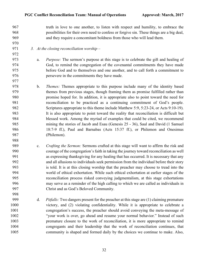truth in love to one another, to listen with respect and humility, to embrace the possibilities for their own need to confess or forgive sin. These things are a big deal, and they require a concomitant boldness from those who will lead them.

- *3. At the closing reconciliation worship –*
- a. *Purpose:* The sermon's purpose at this stage is to celebrate the gift and healing of God, to remind the congregation of the covenantal commitments they have made before God and to themselves and one another, and to call forth a commitment to persevere in the commitments they have made.
- b. *Themes:* Themes appropriate to this purpose include many of the identity based themes from previous stages, though framing them as promise fulfilled rather than promise hoped for. In addition, it is appropriate also to point toward the need for reconciliation to be practiced as a continuing commitment of God's people. Scriptures appropriate to this theme include Matthew 5:9, 5:23-24, or Acts 9:10-19). It is also appropriate to point toward the reality that reconciliation is difficult but blessed work. Among the myriad of examples that could be cited, we recommend mining the stories of Jacob and Esau (Genesis 25 - 36), Saul and David (1 Samuel 18:7-9 ff.), Paul and Barnabas (Acts 15:37 ff.), or Philemon and Onesimus (Philemon).
- c. *Crafting the Sermon:* Sermons crafted at this stage will want to affirm the risk and courage of the congregation's faith in taking the journey toward reconciliation as well as expressing thanksgiving for any healing that has occurred. It is necessary that any and all allusions to individuals seek permission from the individual before their story is told. It is at this closing worship that the preacher may choose to tread into the world of ethical exhortation. While such ethical exhortation at earlier stages of the reconciliation process risked conveying judgmentalism, at this stage exhortations may serve as a reminder of the high calling to which we are called as individuals in Christ and as God's Beloved Community.
- d. *Pitfalls:* Two dangers present for the preacher at this stage are (1) claiming premature victory, and (2) violating confidentiality. While it is appropriate to celebrate a congregation's success, the preacher should avoid conveying the meta-message of "your work is over, go ahead and resume your normal behavior." Instead of such premature closure to the work of reconciliation, it is more appropriate to remind congregants and their leadership that the work of reconciliation continues, that community is shaped and formed daily by the choices we continue to make. Also,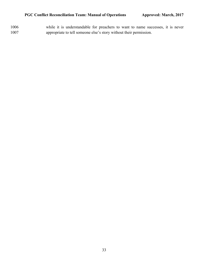while it is understandable for preachers to want to name successes, it is never appropriate to tell someone else's story without their permission.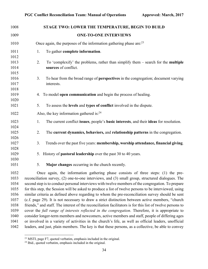| 1008 |                                                                                                       | STAGE TWO: LOWER THE TEMPERATURE, BEGIN TO BUILD                                                  |  |
|------|-------------------------------------------------------------------------------------------------------|---------------------------------------------------------------------------------------------------|--|
| 1009 |                                                                                                       | <b>ONE-TO-ONE INTERVIEWS</b>                                                                      |  |
| 1010 |                                                                                                       | Once again, the purposes of the information gathering phase are: $23$                             |  |
| 1011 | 1.                                                                                                    | To gather complete information.                                                                   |  |
| 1012 |                                                                                                       |                                                                                                   |  |
| 1013 | 2.                                                                                                    | To 'complexify' the problems, rather than simplify them – search for the <b>multiple</b>          |  |
| 1014 |                                                                                                       | sources of conflict.                                                                              |  |
| 1015 |                                                                                                       |                                                                                                   |  |
| 1016 | 3.                                                                                                    | To hear from the broad range of <b>perspectives</b> in the congregation; document varying         |  |
| 1017 |                                                                                                       | interests.                                                                                        |  |
| 1018 |                                                                                                       |                                                                                                   |  |
| 1019 |                                                                                                       | 4. To model open communication and begin the process of healing.                                  |  |
| 1020 |                                                                                                       |                                                                                                   |  |
| 1021 | 5.                                                                                                    | To assess the levels and types of conflict involved in the dispute.                               |  |
| 1022 |                                                                                                       | Also, the key information gathered is: $24$                                                       |  |
| 1023 | 1.                                                                                                    | The current conflict issues, people's basic interests, and their ideas for resolution.            |  |
| 1024 |                                                                                                       |                                                                                                   |  |
| 1025 | 2.                                                                                                    | The current dynamics, behaviors, and relationship patterns in the congregation.                   |  |
| 1026 |                                                                                                       |                                                                                                   |  |
| 1027 | 3.                                                                                                    | Trends over the past five years: membership, worship attendance, financial giving.                |  |
| 1028 |                                                                                                       |                                                                                                   |  |
| 1029 |                                                                                                       | 5. History of <b>pastoral leadership</b> over the past 30 to 40 years.                            |  |
| 1030 |                                                                                                       |                                                                                                   |  |
| 1031 | 5.                                                                                                    | Major changes occurring in the church recently.                                                   |  |
| 1032 |                                                                                                       | Once again, the information gathering phase consists of three steps: (1) the pre-                 |  |
| 1033 | reconciliation survey, (2) one-to-one interviews, and (3) small group, structured dialogues. The      |                                                                                                   |  |
| 1034 |                                                                                                       | second step is to conduct personal interviews with twelve members of the congregation. To prepare |  |
| 1035 | for this step, the Session will be asked to produce a list of twelve persons to be interviewed, using |                                                                                                   |  |

 similar criteria as defined above regarding to whom the pre-reconciliation survey should be sent (c.f. page 29). It is not necessary to draw a strict distinction between active members, "church friends," and staff. The interest of the reconciliation facilitators is for this list of twelve persons to cover the *full range of interests reflected in the congregation*. Therefore, it is appropriate to consider longer-term members and newcomers, active members and staff, people of differing ages or involved in a variety of activities in the church's life, as well as official leaders, unofficial leaders, and just, plain members. The key is that these persons, as a collective, be able to convey

MSTI, page F7, quoted verbatim, emphasis included in the original.

Ibid., quoted verbatim, emphasis included in the original.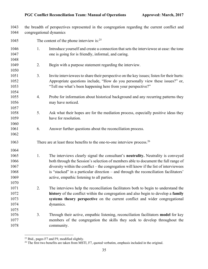the breadth of perspectives represented in the congregation regarding the current conflict and congregational dynamics

| 1045 |    | The content of the phone interview is: $25$                                               |
|------|----|-------------------------------------------------------------------------------------------|
| 1046 | 1. | Introduce yourself and create a connection that sets the interviewee at ease: the tone    |
| 1047 |    | one is going for is friendly, informal, and caring.                                       |
| 1048 |    |                                                                                           |
| 1049 | 2. | Begin with a purpose statement regarding the interview.                                   |
| 1050 |    |                                                                                           |
| 1051 | 3. | Invite interviewees to share their perspective on the key issues; listen for their hurts: |
| 1052 |    | Appropriate questions include, "How do you personally view these issues?" or,             |
| 1053 |    | "Tell me what's been happening here from your perspective?"                               |
| 1054 |    |                                                                                           |
| 1055 | 4. | Probe for information about historical background and any recurring patterns they         |
| 1056 |    | may have noticed.                                                                         |
| 1057 |    |                                                                                           |
| 1058 | 5. | Ask what their hopes are for the mediation process, especially positive ideas they        |
| 1059 |    | have for resolution.                                                                      |
| 1060 |    |                                                                                           |
| 1061 | 6. | Answer further questions about the reconciliation process.                                |
| 1062 |    |                                                                                           |
| 1063 |    | There are at least three benefits to the one-to-one interview process. <sup>26</sup>      |
| 1064 |    |                                                                                           |
| 1065 | 1. | The interviews clearly signal the consultant's neutrality. Neutrality is conveyed         |
| 1066 |    | both through the Session's selection of members able to document the full range of        |
| 1067 |    | diversity within the conflict – the congregation will know if the list of interviewees    |
| 1068 |    | is "stacked" in a particular direction - and through the reconciliation facilitators'     |
| 1069 |    | active, empathic listening to all parties.                                                |
| 1070 |    |                                                                                           |
| 1071 | 2. | The interviews help the reconciliation facilitators both to begin to understand the       |
| 1072 |    | history of the conflict within the congregation and also begin to develop a family        |
| 1073 |    | systems theory perspective on the current conflict and wider congregational               |
| 1074 |    | dynamics.                                                                                 |
| 1075 |    |                                                                                           |
| 1076 | 3. | Through their active, empathic listening, reconciliation facilitators model for key       |
| 1077 |    | members of the congregation the skills they seek to develop throughout the                |
| 1078 |    | community.                                                                                |

 $\frac{25 \text{ Ibid., pages F7 and F9, modified slightly.}}{25 \text{ Ibid., pages F7.}}$ 

The first two benefits are taken from MSTI, F7, quoted verbatim, emphasis included in the original.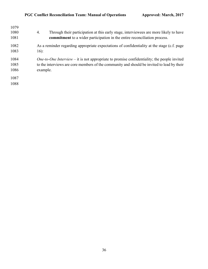| 1079 |                                                                                                    |
|------|----------------------------------------------------------------------------------------------------|
| 1080 | Through their participation at this early stage, interviewees are more likely to have<br>4.        |
| 1081 | commitment to a wider participation in the entire reconciliation process.                          |
| 1082 | As a reminder regarding appropriate expectations of confidentiality at the stage (c.f. page        |
| 1083 | $16)$ :                                                                                            |
| 1084 | <i>One-to-One Interview</i> – it is not appropriate to promise confidentiality; the people invited |
| 1085 | to the interviews are core members of the community and should be invited to lead by their         |
| 1086 | example.                                                                                           |
| 1087 |                                                                                                    |
| 1088 |                                                                                                    |
|      |                                                                                                    |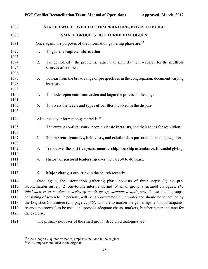| 1089 |                                                                                             | STAGE TWO: LOWER THE TEMPERATURE, BEGIN TO BUILD                                                     |  |
|------|---------------------------------------------------------------------------------------------|------------------------------------------------------------------------------------------------------|--|
| 1090 |                                                                                             | SMALL GROUP, STRUCTURED DIALOGUES                                                                    |  |
| 1091 |                                                                                             | Once again, the purposes of the information gathering phase are: $27$                                |  |
| 1092 | 1.                                                                                          | To gather complete information.                                                                      |  |
| 1093 |                                                                                             |                                                                                                      |  |
| 1094 | 2.                                                                                          | To 'complexify' the problems, rather than simplify them $-$ search for the <b>multiple</b>           |  |
| 1095 |                                                                                             | sources of conflict.                                                                                 |  |
| 1096 |                                                                                             |                                                                                                      |  |
| 1097 | 3.                                                                                          | To hear from the broad range of perspectives in the congregation; document varying                   |  |
| 1098 |                                                                                             | interests.                                                                                           |  |
| 1099 |                                                                                             |                                                                                                      |  |
| 1100 | 4.                                                                                          | To model open communication and begin the process of healing.                                        |  |
| 1101 |                                                                                             |                                                                                                      |  |
| 1102 | 5.                                                                                          | To assess the levels and types of conflict involved in the dispute.                                  |  |
| 1103 |                                                                                             |                                                                                                      |  |
| 1104 |                                                                                             | Also, the key information gathered is: $28$                                                          |  |
| 1105 | 1.                                                                                          | The current conflict issues, people's basic interests, and their ideas for resolution.               |  |
| 1106 |                                                                                             |                                                                                                      |  |
| 1107 | 2.                                                                                          | The current dynamics, behaviors, and relationship patterns in the congregation.                      |  |
| 1108 |                                                                                             |                                                                                                      |  |
| 1109 | 3.                                                                                          | Trends over the past five years: membership, worship attendance, financial giving.                   |  |
| 1110 |                                                                                             |                                                                                                      |  |
| 1111 | 4.                                                                                          | History of <b>pastoral leadership</b> over the past 30 to 40 years.                                  |  |
| 1112 |                                                                                             |                                                                                                      |  |
| 1113 | 5.                                                                                          | Major changes occurring in the church recently.                                                      |  |
| 1114 |                                                                                             | Once again, the information gathering phase consists of three steps: (1) the pre-                    |  |
| 1115 |                                                                                             | reconciliation survey, $(2)$ one-to-one interviews, and $(3)$ small group, structured dialogues. The |  |
| 1116 | third step is to conduct a series of small group, structured dialogues. These small groups, |                                                                                                      |  |
| 1117 |                                                                                             | consisting of seven to 12 persons, will last approximately 90 minutes and should be scheduled by     |  |
| 1118 |                                                                                             | the Logistics Committee (c.f., page 22, #5), who are to market the gatherings, enlist participants,  |  |
| 1119 |                                                                                             | reserve the room(s) to be used, and provide adequate chairs, markers, butcher paper and tape for     |  |

- 1120 the exercise.
- The primary purposes of the small group, structured dialogues are:

 $\frac{27}{27}$  MSTI, page F7, quoted verbatim, emphasis included in the original.

<sup>&</sup>lt;sup>28</sup> Ibid., emphasis included in the original.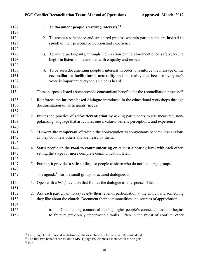| 1122 | 1. To document people's varying interests. <sup>29</sup>                                               |
|------|--------------------------------------------------------------------------------------------------------|
| 1123 |                                                                                                        |
| 1124 | 2. To create a safe space and structured process wherein participants are invited to                   |
| 1125 | speak of their personal perception and experience.                                                     |
| 1126 |                                                                                                        |
| 1127 | 3. To invite participants, through the creation of the aforementioned safe space, to                   |
| 1128 | begin to listen to one another with empathy and respect.                                               |
| 1129 |                                                                                                        |
| 1130 | 4. To be seen documenting people's interests in order to reinforce the message of the                  |
| 1131 | reconciliation facilitators's neutrality and the reality that because everyone's                       |
| 1132 | voice is important everyone's voice is heard.                                                          |
| 1133 |                                                                                                        |
| 1134 | These purposes listed above provide concomitant benefits for the reconciliation process: <sup>30</sup> |
| 1135 | 1. Reinforces the interest-based dialogue introduced in the educational workshops through              |
| 1136 | documentation of participants' needs.                                                                  |
| 1137 |                                                                                                        |
| 1138 | 2. Invites the practice of <b>self-differentiation</b> by asking participants to use measured, non-    |
| 1139 | polarizing language that articulates one's values, beliefs, perceptions, and experience.               |
| 1140 |                                                                                                        |
| 1141 | 3. "Lowers the temperature" within the congregation as congregants become less anxious                 |
| 1142 | as they both hear others and are heard by them.                                                        |
| 1143 |                                                                                                        |
| 1144 | 4. Starts people on the road to communicating on at least a hearing level with each other,             |
| 1145 | setting the stage for more complete communication later.                                               |
| 1146 |                                                                                                        |
| 1147 | 5. Further, it provides a safe setting for people to share who do not like large groups.               |
| 1148 |                                                                                                        |
| 1149 | The agenda <sup>31</sup> for the small group, structured dialogues is:                                 |
| 1150 | 1. Open with a <i>brief</i> devotion that frames the dialogue as a response of faith.                  |
| 1151 |                                                                                                        |
| 1152 | 2. Ask each participant to say <i>briefly</i> their level of participation at the church and something |
| 1153 | they like about the church. Document their commonalities and sources of appreciation.                  |
| 1154 |                                                                                                        |
| 1155 | Documenting commonalities highlights people's connectedness and begins<br>a.                           |
| 1156 | to fracture previously impermeable walls. Often in the midst of conflict, other                        |

 $\frac{29 \text{ Ibid., page F7, #1 quoted verbatim, emphasis included in the original, #2 - #4 added.}$ 

The first two benefits are found in MSTI, page F8, emphasis included in the original.

Ibid.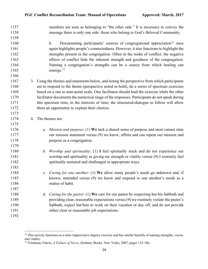| 1157 |    | members are seen as belonging to "the other side." It is necessary to convey the                  |
|------|----|---------------------------------------------------------------------------------------------------|
| 1158 |    | message there is only one side: those who belong to God's Beloved Community.                      |
| 1159 |    |                                                                                                   |
| 1160 |    | Documenting participants' sources of congregational appreciation <sup>32</sup> once<br>b.         |
| 1161 |    | again highlights people's connectedness. However, it also functions to highlight the              |
| 1162 |    | strengths present in the congregation. Often in the midst of conflict, the negative               |
| 1163 |    | effects of conflict hide the inherent strength and goodness of the congregation.                  |
| 1164 |    | Naming a congregation's strengths can be a source from which healing can                          |
| 1165 |    | emerge. <sup>33</sup>                                                                             |
| 1166 |    |                                                                                                   |
| 1167 |    | 3. Using the themes and statements below, and noting the perspective from which participants      |
| 1168 |    | are to respond to the theme (perspective noted in bold), do a series of spectrum exercises        |
| 1169 |    | based on a one to nine-point scale. One facilitator should lead the exercise while the other      |
| 1170 |    | facilitator documents the numerical range of the responses. Participants do not speak during      |
| 1171 |    | this spectrum time, in the interests of time; the structured-dialogue to follow will allow        |
| 1172 |    | them an opportunity to explain their choices.                                                     |
| 1173 |    |                                                                                                   |
| 1174 | 4. | The themes are:                                                                                   |
| 1175 |    |                                                                                                   |
| 1176 |    | <i>Mission and purpose</i> : (1) We lack a shared sense of purpose and most cannot state<br>a.    |
| 1177 |    | our mission statement versus (9) we know, affirm and can repeat our mission and                   |
| 1178 |    | purpose as a congregation.                                                                        |
| 1179 |    |                                                                                                   |
| 1180 |    | b. Worship and spirituality: (1) I feel spiritually stuck and do not experience our               |
| 1181 |    | worship and spirituality as giving me strength or vitality versus (9) I routinely feel            |
| 1182 |    | spiritually nurtured and challenged in appropriate ways.                                          |
| 1183 |    |                                                                                                   |
| 1184 |    | c. <i>Caring for one another</i> : (1) We allow many people's needs go unknown and, if            |
| 1185 |    | known, untended versus (9) we know and respond to one another's needs as a                        |
| 1186 |    | matter of habit.                                                                                  |
| 1187 |    |                                                                                                   |
| 1188 |    | <i>Caring for the pastor</i> : (1) We care for our pastor by respecting her/his Sabbath and<br>d. |
| 1189 |    | providing clear, reasonable expectations versus (9) we routinely violate the pastor's             |
| 1190 |    | Sabbath, expect her/him to work on their vacation or day off, and do not provide                  |
| 1191 |    | either clear or reasonable job expectations.                                                      |
| 1192 |    |                                                                                                   |

<sup>&</sup>lt;sup>32</sup> This activity functions as a mini-Appreciative Inquiry exercise and has similar benefits of naming strengths, vision, and vitality.

Friedman, Edwin, *A Failure of Nerve*, (Seabury Books: New York), 2007, pages 132-186.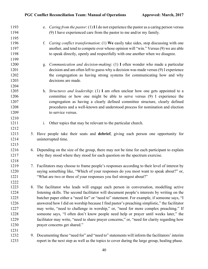| 1193 |    | e. Caring from the pastor: (1) I I do not experience the pastor as a caring person versus      |
|------|----|------------------------------------------------------------------------------------------------|
| 1194 |    | (9) I have experienced care from the pastor to me and/or my family.                            |
| 1195 |    |                                                                                                |
| 1196 |    | Caring conflict transformation: (1) We easily take sides, stop discussing with one<br>f.       |
| 1197 |    | another, and tend to compete over whose opinion will "win." Versus (9) we are able             |
| 1198 |    | to speak directly, openly and respectfully with one another when we disagree.                  |
| 1199 |    |                                                                                                |
| 1200 |    | <i>Communication and decision-making</i> : $(1)$ I often wonder who made a particular<br>g.    |
| 1201 |    | decision and am often left to guess why a decision was made versus (9) I experience            |
| 1202 |    | the congregation as having strong systems for communicating how and why                        |
| 1203 |    | decisions are made.                                                                            |
| 1204 |    |                                                                                                |
| 1205 |    | h. Structures and leadership: (1) I am often unclear how one gets appointed to a               |
| 1206 |    | committee or how one might be able to serve versus (9) I experience the                        |
| 1207 |    | congregation as having a clearly defined committee structure, clearly defined                  |
| 1208 |    | procedures and a well-known and understood process for nomination and election                 |
| 1209 |    | to service versus.                                                                             |
| 1210 |    |                                                                                                |
| 1211 |    | Other topics that may be relevant to the particular church.<br>i.                              |
| 1212 |    |                                                                                                |
| 1213 |    | 5. Have people take their seats and debrief, giving each person one opportunity for            |
| 1214 |    | uninterrupted time.                                                                            |
| 1215 |    |                                                                                                |
| 1216 |    | 6. Depending on the size of the group, there may not be time for each participant to explain   |
| 1217 |    | why they stood where they stood for each question on the spectrum exercise.                    |
| 1218 |    |                                                                                                |
| 1219 |    | 7. Facilitators may choose to frame people's responses according to their level of interest by |
| 1220 |    | saying something like, "Which of your responses do you most want to speak about?" or,          |
| 1221 |    | "What are two or three of your responses you feel strongest about?"                            |
| 1222 |    |                                                                                                |
| 1223 | 8. | The facilitator who leads will engage each person in conversation, modelling active            |
| 1224 |    | listening skills. The second facilitator will document people's interests by writing on the    |
| 1225 |    | butcher paper either a "need for" or "need to" statement. For example, if someone says, "I     |
| 1226 |    | answered how I did on worship because I find pastor's preaching simplistic," the facilitator   |
| 1227 |    | may write, "need to challenge in worship," or, "need for more complex preaching." If           |
| 1228 |    | someone says, "I often don't know people need help or prayer until weeks later," the           |
| 1229 |    | facilitator may write, "need to share prayer concerns," or, "need for clarity regarding how    |
| 1230 |    | prayer concerns get shared."                                                                   |
| 1231 |    |                                                                                                |
| 1232 |    | 9. Documenting these "need for" and "need to" statements will inform the facilitators' interim |
| 1233 |    | report in the next step as well as the topics to cover during the large group, healing phase.  |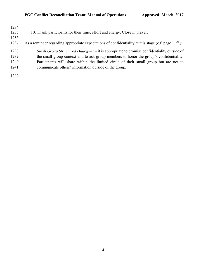| 1234<br>1235<br>1236<br>1237 | 10. Thank participants for their time, effort and energy. Close in prayer.<br>As a reminder regarding appropriate expectations of confidentiality at this stage (c.f. page 11ff.):                                                                                                                                                     |
|------------------------------|----------------------------------------------------------------------------------------------------------------------------------------------------------------------------------------------------------------------------------------------------------------------------------------------------------------------------------------|
| 1238<br>1239<br>1240<br>1241 | Small Group Structured Dialogues – it is appropriate to promise confidentiality outside of<br>the small group context and to ask group members to honor the group's confidentiality.<br>Participants will share within the limited circle of their small group but are not to<br>communicate others' information outside of the group. |
| 1242                         |                                                                                                                                                                                                                                                                                                                                        |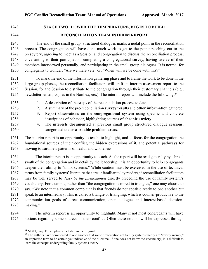# **STAGE TWO: LOWER THE TEMPERATURE, BEGIN TO BUILD RECONCILIAITON TEAM INTERIM REPORT**

1245 The end of the small group, structured dialogues marks a nodal point in the reconciliation process. The congregation will have done much work to get to the point: reaching out to the presbytery, agreeing to meet as a Session and congregation to discuss the reconciliation process, covenanting to their participation, completing a congregational survey, having twelve of their members interviewed personally, and participating in the small group dialogues. It is normal for congregants to wonder, "Are we there yet?" or, "When will we be done with this?"

1251 To mark the end of the information gathering phase and to frame the work to be done in the large group phases, the reconciliation facilitators will craft an interim assessment report to the Session, for the Session to distribute to the congregation through their customary channels (e.g., 1254 newsletter, email, copies in the Narthex, etc.). The interim report will include the following:

- 
- 1. A description of the **steps** of the reconciliation process to date.
- 2. A summary of the pre-reconciliation **survey results** and **other information** gathered.
- 
- 3. Report observations on the **congregational system** using specific and concrete descriptions of behavior, highlighting sources of **chronic anxiety**.
- 4. The **interests documented** at previous small group structured dialogue sessions, categorized under **workable problem areas**.

 The interim report is an opportunity to teach, to highlight, and to focus for the congregation the foundational sources of their conflict, the hidden expressions of it, and potential pathways for moving toward new patterns of health and wholeness.

 The interim report is an opportunity to teach. As the report will be read generally by a broad swath of the congregation and in detail by the leadership, it is an opportunity to help congregants deepen their ability to "think systems." While caution must be exercised in the use of technical 1267 terms from family systems' literature that are unfamiliar to lay readers,<sup>35</sup> reconciliation facilitators may be well served to *describe the phenomenon* directly preceding the use of family system's vocabulary. For example, rather than "the congregation is mired in triangles," one may choose to say, "We note that a common complaint is that friends do not speak directly to one another but speak to an intermediary. This is called a triangle or triangling, which is counter-productive to the communication goals of direct communication, open dialogue, and interest-based decision-1273 making."

 The interim report is an opportunity to highlight. Many if not most congregants will have notions regarding some sources of their conflict. Often these notions will be expressed through

MSTI, page F8, emphasis included in the original.

<sup>&</sup>lt;sup>35</sup> The authors have commented to one another that some presentations of family systems theory are "overly wonky," an imprecise term to be certain yet indicative of the dilemma: if one does not know the vocabulary, it is difficult to learn the concepts undergirding family systems theory.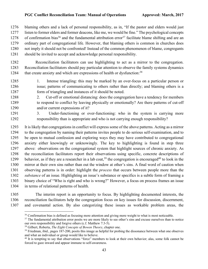blaming others and a lack of personal responsibility, as in, "If the pastor and elders would just listen to former elders and former deacons, like me, we would be fine." The psychological concepts 1278 of confirmation bias<sup>36</sup> and the fundamental attribution error<sup>37</sup> facilitate blame shifting and are an ordinary part of congregational life. However, that blaming others is common in churches does not imply it should not be confronted! Instead of the common phenomenon of blame, congregants should be invited to accept and acknowledge personal responsibility.

 Reconciliation facilitators can use highlighting to act as a mirror to the congregation. Reconciliation facilitators should pay particular attention to observe the family systems dynamics 1284 that create anxiety and which are expressions of health or dysfunction:<sup>38</sup>

- 1. Intense triangling: this may be marked by an over-focus on a particular person or issue; patterns of communicating to others rather than directly; and blaming others is a form of triangling and instances of it should be noted.
- 2. Cut-off or emotional distancing: does the congregation have a tendency for members to respond to conflict by leaving physically or emotionally? Are there patterns of cut-off and/or current expressions of it?
- 3. Under-functioning or over-functioning: who in the system is carrying more responsibility than is appropriate and who is not carrying enough responsibility?

 It is likely that congregations in conflict will express some of the above patterns. Acting as a mirror to the congregation by naming their patterns invites people to do serious self-examination, and to be open to mutual confession and exploring ways they may have contributed to congregational anxiety either knowingly or unknowingly. The key to highlighting is found in step three above: observations on the congregational system that highlight sources of chronic anxiety. As the reconciliation facilitators report their observations using specific, concrete descriptions of 1299 behavior, as if they are a researcher in a lab coat,<sup>39</sup> the congregation is encouraged<sup>40</sup> to look in the mirror at their own sins rather than out the window at other's sins. A final word of caution when observing patterns is in order: highlight the *process* that occurs between people more than the *substance* of an issue. Highlighting an issue's substance or specifics is a subtle form of framing a binary choice of "Who is right and who is wrong?" However, a focus on process frames an issue in terms of relational patterns of health.

 The interim report is an opportunity to focus. By highlighting documented interests, the reconciliation facilitators help the congregation focus on key issues for discussion, discernment, and covenantal action. By also categorizing these issues as workable problem areas, the

<sup>&</sup>lt;sup>36</sup> Confirmation bias is defined as focusing more attention and giving more weight to what is most noticeable.

<sup>&</sup>lt;sup>37</sup> The fundamental attribution error posits we are more likely to see other's sins and excuse ourselves than to notice our own responsibility and forgive others (c.f. Matthew 7:3-5).

Gilbert, Roberta, *The Eight Concepts of Bowen Theory*, chapter one.

<sup>&</sup>lt;sup>39</sup> Friedman, ibid., pages 187-200, posits this image as helpful for probing the dissonance between what one observes and what an individual or group would like to believe.

<sup>&</sup>lt;sup>40</sup> It is tempting to say that observations "force" members to look at their own behavior; alas, some folk cannot be forced to gaze inward and appear immune to self-awareness.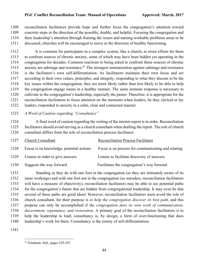reconciliation facilitators provide hope and further focus the congregation's attention toward concrete steps in the direction of the possible, doable, and helpful. Focusing the congregation and their leadership's attention through framing the issues and naming workable problems areas to be discussed, churches will be encouraged to move in the direction of healthy functioning.

 It is common for participants in a complex system, like a church, to resist efforts for them to confront sources of chronic anxiety, some of which may have been hidden yet operating in the congregation for decades. Common reactions to being asked to confront these sources of chronic 1315 anxiety are sabotage and resistance.<sup>41</sup> The strongest immunization against sabotage and resistance is the facilitator's own self-differentiation. As facilitators maintain their own focus and act according to their own values, principles, and integrity, responding to what they discern to be the key issues within the congregation, they are more likely rather than less likely to be able to help the congregation engage issues in a healthy manner. The same immune response is necessary to cultivate in the congregation's leadership, especially the pastor. Therefore, it is appropriate for the reconciliation facilitators to focus attention on the moments when leaders, be they clerical or lay leaders, responded to anxiety in a calm, clear and connected manner.

*A Word of Caution regarding "Consultancy"*

1324 A final word of caution regarding the writing of the interim report is in order. Reconciliation facilitators should avoid serving as a church consultant when drafting the report. The role of church consultant differs from the role of reconciliation process facilitator:

| 1327 | <b>Church Consultant</b>                 | <b>Reconciliation Process Facilitator</b>          |
|------|------------------------------------------|----------------------------------------------------|
| 1328 | Focus is on knowledge, potential actions | Focus is on process for communicating and relating |
| 1329 | Listens in order to give answers         | Listens to facilitate discovery of answers         |
| 1330 | Suggests the way forward                 | Facilitates the congregation's way forward         |

1331 Standing as they do with one foot in the congregation (so they are intimately aware of its inner workings) and with one foot not in the congregation (as outsiders, reconciliation facilitators will have a measure of objectivity), reconciliation facilitators may be able to see potential paths for the congregation's future that are hidden from congregational leadership. It may even be that several of these paths are good ideas! However, reconciliation facilitators must avoid the role of church consultant, for their purpose is *to help the congregation discover its best path*, and this purpose can only be accomplished if *the congregation does its own work of communication, discernment, repentance, and restoration*. A primary goal of the reconciliation facilitators is to help the leadership to lead; consultancy is, by design, a form of over-functioning that does leadership's work for them. Consultancy is the enemy of self-differentiation.

Friedman, ibid., pages 229-247.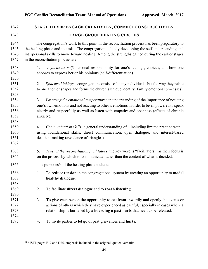| 1342                                 |                 | STAGE THREE: ENGAGE CREATIVELY, CONNECT CONSTRUCTIVELY                                                                                                                                                                                                                                                                                      |
|--------------------------------------|-----------------|---------------------------------------------------------------------------------------------------------------------------------------------------------------------------------------------------------------------------------------------------------------------------------------------------------------------------------------------|
| 1343                                 |                 | <b>LARGE GROUP HEALING CIRCLES</b>                                                                                                                                                                                                                                                                                                          |
| 1344<br>1345<br>1346<br>1347         |                 | The congregation's work to this point in the reconciliation process has been preparatory to<br>the healing phase and its tasks. The congregation is likely developing the self-understanding and<br>interpersonal skills to move toward healing. Among the strengths gained during the earlier stages<br>in the reconciliation process are: |
| 1348<br>1349<br>1350                 | 1.              | A focus on self: personal responsibility for one's feelings, choices, and how one<br>chooses to express her or his opinions (self-differentiation).                                                                                                                                                                                         |
| 1351<br>1352<br>1353                 | 2.              | Systems thinking: a congregation consists of many individuals, but the way they relate<br>to one another shapes and forms the church's unique identity (family emotional processes).                                                                                                                                                        |
| 1354<br>1355<br>1356<br>1357         | 3.<br>anxiety). | Lowering the emotional temperature: an understanding of the importance of noticing<br>one's own emotions and not reacting to other's emotions in order to be empowered to speak<br>clearly and respectfully as well as listen with empathy and openness (effects of chronic                                                                 |
| 1358<br>1359<br>1360<br>1361<br>1362 | 4.              | <i>Communication skills:</i> a general understanding of $-$ including limited practice with $-$<br>using foundational skills: direct communication, open dialogue, and interest-based<br>decision-making (avoidance of triangles).                                                                                                          |
| 1363<br>1364                         | 5.              | Trust of the reconciliation facilitators: the key word is "facilitators," as their focus is<br>on the process by which to communicate rather than the content of what is decided.                                                                                                                                                           |
| 1365                                 |                 | The purposes $42$ of the healing phase include:                                                                                                                                                                                                                                                                                             |
| 1366<br>1367<br>1368                 | 1.              | To reduce tension in the congregational system by creating an opportunity to model<br>healthy dialogue.                                                                                                                                                                                                                                     |
| 1369<br>1370                         | 2.              | To facilitate direct dialogue and to coach listening.                                                                                                                                                                                                                                                                                       |
| 1371<br>1372<br>1373<br>1374         | 3.              | To give each person the opportunity to <b>confront</b> inwardly and openly the events or<br>actions of others which they have experienced as painful, especially in cases where a<br>relationship is burdened by a hoarding a past hurts that need to be released.                                                                          |
| 1375                                 | 4.              | To invite parties to let go of past grievances and hurts.                                                                                                                                                                                                                                                                                   |

MSTI, pages F17 and D25, emphasis included in the original, quoted verbatim.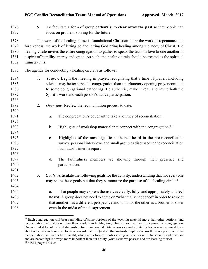| 1376<br>1377                         | 5.              | To facilitate a form of group catharsis; to clear away the past so that people can<br>focus on problem-solving for the future.                                                                                                                                                                                                                                                                                 |
|--------------------------------------|-----------------|----------------------------------------------------------------------------------------------------------------------------------------------------------------------------------------------------------------------------------------------------------------------------------------------------------------------------------------------------------------------------------------------------------------|
| 1378<br>1379<br>1380<br>1381<br>1382 | ministry it is. | The work of the healing phase is foundational Christian faith: the work of repentance and<br>forgiveness, the work of letting go and letting God bring healing among the Body of Christ. The<br>healing circle invites the entire congregation to gather to speak the truth in love to one another in<br>a spirit of humility, mercy and grace. As such, the healing circle should be treated as the spiritual |
| 1383                                 |                 | The agenda for conducting a healing circle is as follows:                                                                                                                                                                                                                                                                                                                                                      |
| 1384<br>1385<br>1386<br>1387<br>1388 | 1.              | <i>Prayer</i> : Begin the meeting in prayer, recognizing that a time of prayer, including<br>silence, may better serve the congregation than a perfunctory opening prayer common<br>to some congregational gatherings. Be authentic, make it real, and invite both the<br>Spirit's work and each person's active participation.                                                                                |
| 1389                                 | 2.              | Overview: Review the reconciliation process to date:                                                                                                                                                                                                                                                                                                                                                           |
| 1390                                 |                 |                                                                                                                                                                                                                                                                                                                                                                                                                |
| 1391                                 |                 | The congregation's covenant to take a journey of reconciliation.<br>a.                                                                                                                                                                                                                                                                                                                                         |
| 1392                                 |                 |                                                                                                                                                                                                                                                                                                                                                                                                                |
| 1393                                 |                 | Highlights of workshop material that connect with the congregation. <sup>43</sup><br>$\mathbf b$ .                                                                                                                                                                                                                                                                                                             |
| 1394                                 |                 |                                                                                                                                                                                                                                                                                                                                                                                                                |
| 1395                                 |                 | Highlights of the most significant themes heard in the pre-reconciliation<br>$\mathbf{c}$ .                                                                                                                                                                                                                                                                                                                    |
| 1396                                 |                 | survey, personal interviews and small group as discussed in the reconciliation                                                                                                                                                                                                                                                                                                                                 |
| 1397                                 |                 | facilitator's interim report.                                                                                                                                                                                                                                                                                                                                                                                  |
| 1398                                 |                 |                                                                                                                                                                                                                                                                                                                                                                                                                |
| 1399                                 |                 | d.<br>The faithfulness members are showing through their presence and                                                                                                                                                                                                                                                                                                                                          |
| 1400                                 |                 | participation.                                                                                                                                                                                                                                                                                                                                                                                                 |
| 1401                                 |                 |                                                                                                                                                                                                                                                                                                                                                                                                                |
| 1402                                 | 3.              | <i>Goals:</i> Articulate the following goals for the activity, understanding that not everyone                                                                                                                                                                                                                                                                                                                 |
| 1403                                 |                 | may share these goals but that they summarize the purpose of the healing circle: <sup>44</sup>                                                                                                                                                                                                                                                                                                                 |
| 1404                                 |                 |                                                                                                                                                                                                                                                                                                                                                                                                                |
| 1405                                 |                 | That people may express themselves clearly, fully, and appropriately and feel<br>a.                                                                                                                                                                                                                                                                                                                            |
| 1406                                 |                 | heard. A group does not need to agree on "what really happened" in order to respect                                                                                                                                                                                                                                                                                                                            |
| 1407                                 |                 | that another has a different perspective and to honor the other as a brother or sister                                                                                                                                                                                                                                                                                                                         |
| 1408                                 |                 | even in the midst of the disagreement.                                                                                                                                                                                                                                                                                                                                                                         |
|                                      |                 |                                                                                                                                                                                                                                                                                                                                                                                                                |

<sup>&</sup>lt;sup>43</sup> Each congregation will bear reminding of some portions of the teaching material more than other portions, and reconciliation facilitators will use their wisdom in highlighting what is most pertinent to a particular congregation. One reminded to note is to distinguish between internal identity versus external ability: between what we must learn about ourselves and our need to grow toward maturity (and all that maturity implies) versus the concepts or skills the reconciliation facilitators have taught, which are a form of tools existing outside oneself. Our identity (who we are and are becoming) is always more important than our ability (what skills we possess and are learning to use). MSTI, pages D25-26.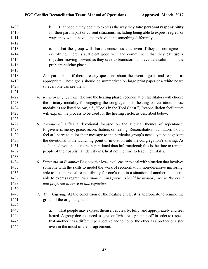b. That people may begin to express the way they **take personal responsibility** for their part in past or current situations, including being able to express regrets or ways they would have liked to have done something differently. c. That the group will share a consensus that, even if they do not agree on everything, there is sufficient good will and commitment that they **can work together** moving forward as they seek to brainstorm and evaluate solutions in the **problem-solving phase.**  Ask participants if there are any questions about the event's goals and respond as appropriate. These goals should be summarized on large print paper or a white board so everyone can see them. 4. *Rules of Engagement:* (Before the healing phase, reconciliation facilitators will choose the primary modality for engaging the congregation in healing conversation. These modalities are listed below, c.f., "Tools in the Tool Chest.") Reconciliation facilitators will explain the process to be used for the healing circle, as described below. 5. *Devotional:* Offer a devotional focused on the Biblical themes of repentance, forgiveness, mercy, grace, reconciliation, or healing. Reconciliation facilitators should feel at liberty to tailor their message to the particular group's needs, yet be cognizant the devotional is the launching point or invitation into the congregation's sharing. As such, the devotional is more inspirational than informational; this is the time to remind people of their baptismal identity in Christ not the time to teach new skills. 6. *Start with an Example*: Begin with a low-level, easier to deal with situation that involves 1435 someone with the skills to model the work of reconciliation: non-defensive mirroring, able to take personal responsibility for one's role in a situation of another's concern, able to express regret. *This situation and person should be invited prior to the event and prepared to serve in this capacity!* 7. *Thanksgiving:* At the conclusion of the healing circle, it is appropriate to remind the group of the original goals: a. That people may express themselves clearly, fully, and appropriately and **feel heard**. A group does not need to agree on "what really happened" in order to respect 1445 that another has a different perspective and to honor the other as a brother or sister even in the midst of the disagreement.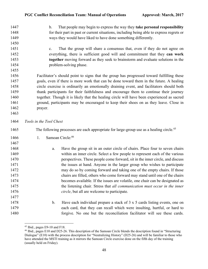| 1447 |                         | $\mathbf{b}$ . | That people may begin to express the way they take personal responsibility                          |
|------|-------------------------|----------------|-----------------------------------------------------------------------------------------------------|
| 1448 |                         |                | for their part in past or current situations, including being able to express regrets or            |
| 1449 |                         |                | ways they would have liked to have done something differently.                                      |
| 1450 |                         |                |                                                                                                     |
| 1451 |                         | $\mathbf{c}$ . | That the group will share a consensus that, even if they do not agree on                            |
| 1452 |                         |                | everything, there is sufficient good will and commitment that they can work                         |
| 1453 |                         |                | together moving forward as they seek to brainstorm and evaluate solutions in the                    |
| 1454 |                         |                | problem-solving phase.                                                                              |
| 1455 |                         |                |                                                                                                     |
| 1456 |                         |                | Facilitator's should point to signs that the group has progressed toward fulfilling these           |
| 1457 |                         |                | goals, even if there is more work that can be done toward them in the future. A healing             |
| 1458 |                         |                | circle exercise is ordinarily an emotionally draining event, and facilitators should both           |
| 1459 |                         |                | thank participants for their faithfulness and encourage them to continue their journey              |
| 1460 |                         |                | together. Though it is likely that the healing circle will have been experienced as sacred          |
| 1461 |                         |                | ground, participants may be encouraged to keep their shoes on as they leave. Close in               |
| 1462 | prayer.                 |                |                                                                                                     |
| 1463 |                         |                |                                                                                                     |
| 1464 | Tools in the Tool Chest |                |                                                                                                     |
| 1465 |                         |                | The following processes are each appropriate for large-group use as a healing circle. <sup>45</sup> |
| 1466 | 1.                      |                | Samoan Circle:46                                                                                    |
| 1467 |                         |                |                                                                                                     |
| 1468 |                         | a.             | Have the group sit in an outer circle of chairs. Place four to seven chairs                         |
| 1469 |                         |                | within an inner circle. Select a few people to represent each of the various                        |
| 1470 |                         |                | perspectives. These people come forward, sit in the inner circle, and discuss                       |
| 1471 |                         |                | the issues at hand. Anyone in the larger group who wishes to participate                            |
| 1472 |                         |                | may do so by coming forward and taking one of the empty chairs. If those                            |
| 1473 |                         |                | chairs are filled, others who come forward may stand until one of the chairs                        |
| 1474 |                         |                | becomes available. If the issues are volatile, one chair can be designated as                       |
| 1475 |                         |                | the listening chair. Stress that all communication must occur in the inner                          |
| 1476 |                         |                | circle, but all are welcome to participate.                                                         |
| 1477 |                         |                |                                                                                                     |
| 1478 |                         | b.             | Have each individual prepare a stack of $3 \times 5$ cards listing events, one on                   |
|      |                         |                |                                                                                                     |
| 1479 |                         |                | each card, that they can recall which were insulting, hurtful, or hard to                           |

Ibid., pages E9-10 and F18.

 Ibid., pages E10 and D25-26. This description of the Samoan Circle blends the description found in "Structuring Dialogue" (E10) with the process description for "Neutralizing History" (D25-26) and will be familiar to those who have attended the MSTI training as it mirrors the Samoan Circle exercise done on the fifth day of the training (usually held on Friday).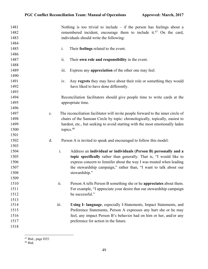| 1481<br>1482<br>1483 |                | Nothing is too trivial to include $-$ if the person has feelings about a<br>remembered incident, encourage them to include it. <sup>47</sup> On the card,<br>individuals should write the following: |
|----------------------|----------------|------------------------------------------------------------------------------------------------------------------------------------------------------------------------------------------------------|
| 1484                 |                |                                                                                                                                                                                                      |
| 1485                 | i.             | Their feelings related to the event.                                                                                                                                                                 |
| 1486                 |                |                                                                                                                                                                                                      |
| 1487                 | ii.            | Their own role and responsibility in the event.                                                                                                                                                      |
| 1488                 |                |                                                                                                                                                                                                      |
| 1489                 | 111.           | Express any appreciation of the other one may feel.                                                                                                                                                  |
| 1490                 |                |                                                                                                                                                                                                      |
| 1491                 | iv.            | Any regrets they may have about their role or something they would                                                                                                                                   |
| 1492                 |                | have liked to have done differently.                                                                                                                                                                 |
| 1493                 |                |                                                                                                                                                                                                      |
| 1494                 |                | Reconciliation facilitators should give people time to write cards at the                                                                                                                            |
| 1495                 |                | appropriate time.                                                                                                                                                                                    |
| 1496                 |                |                                                                                                                                                                                                      |
| 1497                 | c.             | The reconciliation facilitator will invite people forward to the inner circle of                                                                                                                     |
| 1498                 |                | chairs of the Samoan Circle by topic: chronologically, topically, easiest to                                                                                                                         |
| 1499                 |                | hardest, etc., but seeking to avoid starting with the most emotionally laden                                                                                                                         |
| 1500                 |                | topics. <sup>48</sup>                                                                                                                                                                                |
| 1501                 |                |                                                                                                                                                                                                      |
| 1502                 | d.             | Person A is invited to speak and encouraged to follow this model:                                                                                                                                    |
| 1503                 |                |                                                                                                                                                                                                      |
| 1504                 | $\mathbf{i}$ . | Address an individual or individuals (Person B) personally and a                                                                                                                                     |
| 1505                 |                | topic specifically rather than generally. That is, "I would like to                                                                                                                                  |
| 1506                 |                | express concern to Jennifer about the way I was treated when leading                                                                                                                                 |
| 1507                 |                | the stewardship campaign," rather than, "I want to talk about our                                                                                                                                    |
| 1508                 |                | stewardship."                                                                                                                                                                                        |
| 1509                 |                |                                                                                                                                                                                                      |
| 1510                 | ii.            | Person A tells Person B something she or he <b>appreciates</b> about them.                                                                                                                           |
| 1511                 |                | For example, "I appreciate your desire that our stewardship campaign                                                                                                                                 |
| 1512                 |                | be successful."                                                                                                                                                                                      |
| 1513                 |                |                                                                                                                                                                                                      |
| 1514                 | iii.           | Using I- language, especially I-Statements, Impact Statements, and                                                                                                                                   |
| 1515                 |                | Preference Statements, Person A expresses any hurt she or he may                                                                                                                                     |
| 1516                 |                | feel, any impact Person B's behavior had on him or her, and/or any                                                                                                                                   |
| 1517                 |                | preference for action in the future.                                                                                                                                                                 |
| 1518                 |                |                                                                                                                                                                                                      |

 $\frac{47 \text{ Ibid., page D25.}}{47 \text{ Ibid., page D25.}}$ 

Ibid.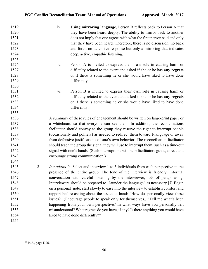| 1519 |    | iv.            | Using mirroring language, Person B reflects back to Person A that                              |
|------|----|----------------|------------------------------------------------------------------------------------------------|
| 1520 |    |                | they have been heard deeply. The ability to mirror back to another                             |
| 1521 |    |                | does not imply that one agrees with what the first person said and only                        |
| 1522 |    |                | that they have been heard. Therefore, there is no discussion, no back                          |
| 1523 |    |                | and forth, no defensive response but only a mirroring that indicates                           |
| 1524 |    |                | deep, active, empathic listening.                                                              |
| 1525 |    |                |                                                                                                |
| 1526 |    | $\mathbf{V}$ . | Person A is invited to express their own role in causing harm or                               |
| 1527 |    |                | difficulty related to the event and asked if she or he has any regrets                         |
| 1528 |    |                | or if there is something he or she would have liked to have done                               |
| 1529 |    |                | differently.                                                                                   |
| 1530 |    |                |                                                                                                |
| 1531 |    | vi.            | Person B is invited to express their own role in causing harm or                               |
| 1532 |    |                | difficulty related to the event and asked if she or he has any regrets                         |
| 1533 |    |                | or if there is something he or she would have liked to have done                               |
| 1534 |    |                | differently.                                                                                   |
| 1535 |    |                |                                                                                                |
| 1536 |    |                | A summary of these rules of engagement should be written on large-print paper or               |
| 1537 |    |                | a whiteboard so that everyone can see them. In addition, the reconciliations                   |
| 1538 |    |                | facilitator should convey to the group they reserve the right to interrupt people              |
| 1539 |    |                | (occasionally and politely) as needed to redirect them toward I-language or away               |
| 1540 |    |                | from defensive justifications of one's own behavior. The reconciliation facilitator            |
| 1541 |    |                | should teach the group the signal they will use to interrupt them, such as a time-out          |
| 1542 |    |                | signal with one's hands. (Such interruptions will help facilitators guide, direct and          |
| 1543 |    |                | encourage strong communication.)                                                               |
| 1544 |    |                |                                                                                                |
| 1545 | 2. |                | Interviews: <sup>49</sup> Select and interview 1 to 3 individuals from each perspective in the |
| 1546 |    |                | presence of the entire group. The tone of the interview is friendly, informal                  |
| 1547 |    |                | conversation with careful listening by the interviewer, lots of paraphrasing.                  |
| 1548 |    |                | Interviewers should be prepared to "launder the language" as necessary.[7] Begin               |
| 1549 |    |                | on a personal note; start slowly to ease into the interview to establish comfort and           |
| 1550 |    |                | rapport before asking about the issues at hand: "How do personally view these                  |
| 1551 |    |                | issues?" (Encourage people to speak only for themselves.) "Tell me what's been                 |
| 1552 |    |                | happening from your own perspective? In what ways have you personally felt                     |
| 1553 |    |                | misunderstood? What regrets do you have, if any? Is there anything you would have              |
| 1554 |    |                | liked to have done differently?"                                                               |
| 1555 |    |                |                                                                                                |

Ibid., page D26.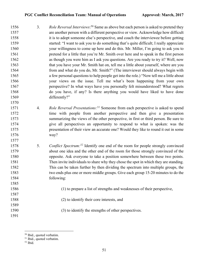1556 3. *Role Reversal Interviews*:<sup>50</sup> Same as above but each person is asked to pretend they are another person with a different perspective or view. Acknowledge how difficult it is to adopt someone else's perspective, and coach the interviewee before getting started: "I want to ask you to do something that's quite difficult; I really appreciate your willingness to come up here and do this. Mr. Miller, I'm going to ask you to pretend for a little that you're Mr. Smith over here and to speak in the first person as though you were him as I ask you questions. Are you ready to try it? Well, now 1563 that you have your Mr. Smith hat on, tell me a little about yourself, where are you from and what do you do, Mr. Smith?" (The interviewer should always begin with a few personal questions to help people get into the role.) "Now tell me a little about your views on the issue. Tell me what's been happening from your own perspective? In what ways have you personally felt misunderstood? What regrets do you have, if any? Is there anything you would have liked to have done differently?"

- 1571 4. *Role Reversal Presentations:<sup>51</sup>* Someone from each perspective is asked to spend time with people from another perspective and then give a presentation summarizing the views of the other perspective, in first or third person. Be sure to give all perspectives an opportunity to respond to what is spoken: was the presentation of their view an accurate one? Would they like to round it out in some way?
- 1578 5. *Conflict Spectrum*:<sup>52</sup> Identify one end of the room for people strongly convinced about one idea and the other end of the room for those strongly convinced of the opposite. Ask everyone to take a position somewhere between these two points. Then invite individuals to share why they chose the spot in which they are standing. This can be taken further by then dividing the spectrum into multiple groups, the two ends plus one or more middle groups. Give each group 15-20 minutes to do the following:
- (1) to prepare a list of strengths and weaknesses of their perspective,
- (2) to identify their core interests, and
- (3) to identify the strengths of other perspectives.

Ibid., quoted verbatim.

Ibid., quoted verbatim.

Ibid.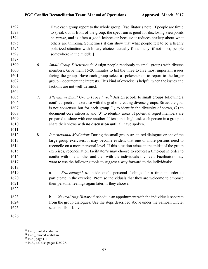| 1592<br>1593<br>1594<br>1595<br>1596<br>1597<br>1598 |    | Have each group report to the whole group. [Facilitator's note: If people are timid<br>to speak out in front of the group, the spectrum is good for disclosing viewpoints<br>en masse, and is often a good icebreaker because it reduces anxiety about what<br>others are thinking. Sometimes it can show that what people felt to be a highly<br>polarized situation with binary choices actually finds many, if not most, people<br>somewhere in the middle.] |
|------------------------------------------------------|----|-----------------------------------------------------------------------------------------------------------------------------------------------------------------------------------------------------------------------------------------------------------------------------------------------------------------------------------------------------------------------------------------------------------------------------------------------------------------|
| 1599                                                 | 6. | <i>Small Group Discussion</i> : <sup>53</sup> Assign people randomly to small groups with diverse                                                                                                                                                                                                                                                                                                                                                               |
| 1600                                                 |    | members. Give them 15-20 minutes to list the three to five most important issues                                                                                                                                                                                                                                                                                                                                                                                |
| 1601                                                 |    | facing the group. Have each group select a spokesperson to report to the larger                                                                                                                                                                                                                                                                                                                                                                                 |
| 1602                                                 |    | group – document the interests. This kind of exercise is helpful when the issues and                                                                                                                                                                                                                                                                                                                                                                            |
| 1603                                                 |    | factions are not well-defined.                                                                                                                                                                                                                                                                                                                                                                                                                                  |
| 1604                                                 |    |                                                                                                                                                                                                                                                                                                                                                                                                                                                                 |
| 1605                                                 | 7. | Alternative Small Group Procedure: <sup>54</sup> Assign people to small groups following a                                                                                                                                                                                                                                                                                                                                                                      |
| 1606                                                 |    | conflict spectrum exercise with the goal of creating diverse groups. Stress the goal                                                                                                                                                                                                                                                                                                                                                                            |
| 1607                                                 |    | is not consensus but for each group $(1)$ to identify the diversity of views, $(2)$ to                                                                                                                                                                                                                                                                                                                                                                          |
| 1608                                                 |    | document core interests, and (3) to identify areas of potential regret members are                                                                                                                                                                                                                                                                                                                                                                              |
| 1609                                                 |    | prepared to share with one another. If tension is high, ask each person in a group to                                                                                                                                                                                                                                                                                                                                                                           |
| 1610                                                 |    | share their views with no discussion until all have spoken.                                                                                                                                                                                                                                                                                                                                                                                                     |
| 1611                                                 |    |                                                                                                                                                                                                                                                                                                                                                                                                                                                                 |
| 1612                                                 | 8. | Interpersonal Mediation: During the small group structured dialogues or one of the                                                                                                                                                                                                                                                                                                                                                                              |
| 1613                                                 |    | large group exercises, it may become evident that one or more persons need to                                                                                                                                                                                                                                                                                                                                                                                   |
| 1614                                                 |    | reconcile on a more personal level. If this situation arises in the midst of the group                                                                                                                                                                                                                                                                                                                                                                          |
| 1615                                                 |    | exercises, reconciliation facilitator's may choose to request a time-out in order to                                                                                                                                                                                                                                                                                                                                                                            |
| 1616                                                 |    | confer with one another and then with the individuals involved. Facilitators may                                                                                                                                                                                                                                                                                                                                                                                |
| 1617                                                 |    | want to use the following tools to suggest a way forward to the individuals:                                                                                                                                                                                                                                                                                                                                                                                    |
| 1618                                                 |    |                                                                                                                                                                                                                                                                                                                                                                                                                                                                 |
| 1619                                                 |    | <i>Bracketing</i> : <sup>55</sup> set aside one's personal feelings for a time in order to<br>a.                                                                                                                                                                                                                                                                                                                                                                |
| 1620                                                 |    | participate in the exercise. Promise individuals that they are welcome to embrace                                                                                                                                                                                                                                                                                                                                                                               |
| 1621                                                 |    | their personal feelings again later, if they choose.                                                                                                                                                                                                                                                                                                                                                                                                            |
| 1622                                                 |    |                                                                                                                                                                                                                                                                                                                                                                                                                                                                 |
| 1623                                                 |    | <i>Neutralizing History</i> : <sup>56</sup> schedule an appointment with the individuals separate<br>b.                                                                                                                                                                                                                                                                                                                                                         |
| 1624                                                 |    | from the group dialogues. Use the steps described above under the Samoan Circle,                                                                                                                                                                                                                                                                                                                                                                                |
| 1625                                                 |    | sections $1b - 1d$ .iv.                                                                                                                                                                                                                                                                                                                                                                                                                                         |
| 1626                                                 |    |                                                                                                                                                                                                                                                                                                                                                                                                                                                                 |

Ibid., quoted verbatim.

Ibid.,, quoted verbatim.

<sup>&</sup>lt;sup>55</sup> Ibid., page C1.

Ibid., c.f. also pages D25-26.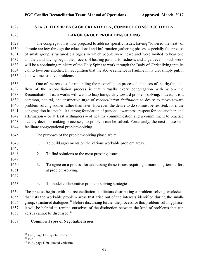# **STAGE THREE: ENGAGE CREATIVELY, CONNECT CONSTRUCTIVELY LARGE GROUP PROBLEM-SOLVING**

The congregation is now prepared to address specific issues, having "lowered the heat" of chronic anxiety through the educational and information gathering phases, especially the process of small group, structured dialogues in which people were heard and were invited to hear one another, and having begun the process of healing past hurts, sadness, and anger, even if such work will be a continuing ministry of the Holy Spirit at work through the Body of Christ living into its call to love one another. In recognition that the above sentence is Pauline in nature, simply put: it is now time to solve problems.

1636 One of the reasons for reminding the reconciliation process facilitators of the rhythm and flow of the reconciliation process is that virtually every congregation with whom the Reconciliation Team works will want to leap too quickly toward problem-solving. Indeed, it is a common, natural, and instinctive urge of *reconciliation facilitators* to desire to move toward problem-solving sooner rather than later. However, the desire to do so must be resisted, for if the congregation has not built a strong foundation of personal awareness, respect for one another, and affirmation – or at least willingness – of healthy communication and a commitment to practice healthy decision-making processes, no problem can be solved. Fortunately, the next phase will facilitate congregational problem-solving.

- 1645 The purposes of the problem-solving phase are:
- 1646 1. To build agreements on the various workable problem areas.
- 2. To find solutions to the most pressing issues.
- 3. To agree on a process for addressing those issues requiring a more long-term effort at problem-solving.
- 

4. To model collaborative problem-solving strategies.

 The process begins with the reconciliation facilitators distributing a problem-solving worksheet that lists the workable problem areas that arise out of the interests identified during the small-1656 group, structured dialogues.<sup>58</sup> Before discussing further the process for this problem-solving phase, it will be helpful to remind ourselves of the distinction between the kind of problems that can 1658 versus cannot be discussed:

### **Common Types of Negotiable Issues**

Ibid., page F19, quoted verbatim.

Ibid.

Ibid., page D30, quoted verbatim.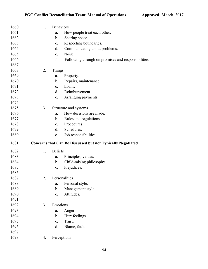| 1660 | 1. | <b>Behaviors</b> |                                                             |
|------|----|------------------|-------------------------------------------------------------|
| 1661 |    | a.               | How people treat each other.                                |
| 1662 |    | $\mathbf b$ .    | Sharing space.                                              |
| 1663 |    | c.               | Respecting boundaries.                                      |
| 1664 |    | d.               | Communicating about problems.                               |
| 1665 |    | e.               | Noise.                                                      |
| 1666 |    | f.               | Following through on promises and responsibilities.         |
| 1667 |    |                  |                                                             |
| 1668 | 2. | Things           |                                                             |
| 1669 |    | a.               | Property.                                                   |
| 1670 |    | b.               | Repairs, maintenance.                                       |
| 1671 |    | $\mathbf{c}$ .   | Loans.                                                      |
| 1672 |    | d.               | Reimbursement.                                              |
| 1673 |    | e.               | Arranging payments.                                         |
| 1674 |    |                  |                                                             |
| 1675 | 3. |                  | Structure and systems                                       |
| 1676 |    | a.               | How decisions are made.                                     |
| 1677 |    | $\mathbf b$ .    | Rules and regulations.                                      |
| 1678 |    | $\mathbf{c}$ .   | Procedures.                                                 |
| 1679 |    | d.               | Schedules.                                                  |
|      |    |                  |                                                             |
| 1680 |    | e.               | Job responsibilities.                                       |
| 1681 |    |                  | Concerns that Can Be Discussed but not Typically Negotiated |
| 1682 | 1. | <b>Beliefs</b>   |                                                             |
| 1683 |    | a.               | Principles, values.                                         |
| 1684 |    | $\mathbf b$ .    | Child-raising philosophy.                                   |
| 1685 |    | c.               | Prejudices.                                                 |
| 1686 |    |                  |                                                             |
| 1687 | 2. |                  | Personalities                                               |
| 1688 |    | a.               | Personal style.                                             |
| 1689 |    | b.               | Management style.                                           |
| 1690 |    | $\mathbf{c}$ .   | Attitudes.                                                  |
| 1691 |    |                  |                                                             |
| 1692 | 3. | Emotions         |                                                             |
| 1693 |    | a.               | Anger.                                                      |
| 1694 |    | b.               | Hurt feelings.                                              |
| 1695 |    | $\mathbf{c}$ .   | Trust.                                                      |
| 1696 |    | d.               | Blame, fault.                                               |
| 1697 |    |                  |                                                             |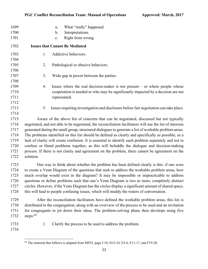| 1699 | What "really" happened.<br>a.                                                                             |
|------|-----------------------------------------------------------------------------------------------------------|
| 1700 | Interpretations.<br>b.                                                                                    |
| 1701 | Right from wrong.<br>$\mathbf{c}$ .                                                                       |
| 1702 | <b>Issues that Cannot Be Mediated</b>                                                                     |
| 1703 | Addictive behaviors.<br>1.                                                                                |
| 1704 |                                                                                                           |
| 1705 | 2.<br>Pathological or abusive behaviors.                                                                  |
| 1706 |                                                                                                           |
| 1707 | 3.<br>Wide gap in power between the parties.                                                              |
| 1708 |                                                                                                           |
| 1709 | Issues where the real decision-maker is not present $-$ or where people whose<br>4.                       |
| 1710 | cooperation is needed or who may be significantly impacted by a decision are not                          |
| 1711 | represented.                                                                                              |
| 1712 |                                                                                                           |
| 1713 | Issues requiring investigation and disclosure before fair negotiation can take place.<br>5.               |
| 1714 |                                                                                                           |
| 1715 | Aware of the above list of concerns that can be negotiated, discussed but not typically                   |
| 1716 | negotiated, and not able to be negotiated, the reconciliation facilitators will use the list of interests |
| 1717 | generated during the small group, structured dialogues to generate a list of workable problem areas.      |
| 1718 | The problems identified on this list should be defined as clearly and specifically as possible, as a      |
| 1719 | lack of clarity will create confusion. It is essential to identify each problem separately and not to     |
| 1720 | confuse or blend problems together, as this will befuddle the dialogue and decision-making                |
| 1721 | process. If there is not clarity and agreement on the problem, there cannot be agreement on the           |
| 1722 | solution.                                                                                                 |
| 1723 | One way to think about whether the problem has been defined clearly is this: if one were                  |
| 1724 | to create a Venn Diagram of the questions that seek to address the workable problem areas, how            |
| 1725 | much overlap would exist in the diagram? It may be impossible or impracticable to address                 |
| 1726 | questions or define problems such that one's Venn Diagram is two or more, completely distinct             |
| 1727 | circles. However, if the Venn Diagram has the circles display a significant amount of shared space,       |
| 1728 | this will lead to people confusing issues, which will muddy the waters of conversation.                   |
| 1729 | After the reconciliation facilitators have defined the workable problem areas, this list is               |
| 1730 | distributed to the congregation, along with an overview of the process to be used and an invitation       |
| 1731 | for congregants to jot down their ideas. The problem-solving phase then develops using five               |
| 1732 | steps: $60$                                                                                               |
| 1733 | Clarify the process to be used to address the problem.<br>1.                                              |
| 1734 |                                                                                                           |

 $\frac{60}{60}$  The material that follows is adapted from MSTI, page C10, D15-24, E5-6, E11-17, and F19-20.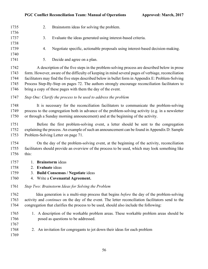|    | Brainstorm ideas for solving the problem.                                      |
|----|--------------------------------------------------------------------------------|
|    |                                                                                |
| 3. | Evaluate the ideas generated using interest-based criteria.                    |
|    |                                                                                |
| 4. | Negotiate specific, actionable proposals using interest-based decision-making. |
|    |                                                                                |
|    |                                                                                |

1741 5. Decide and agree on a plan.

 A description of the five steps in the problem-solving process are described below in prose form. However, aware of the difficulty of keeping in mind several pages of verbiage, reconciliation facilitators may find the five steps described below in bullet form in Appendix E: Problem-Solving Process Step-By-Step on pages 72. The authors strongly encourage reconciliation facilitators to bring a copy of these pages with them the day of the event.

*Step One: Clarify the process to be used to address the problem*

1748 It is necessary for the reconciliation facilitators to communicate the problem-solving process to the congregation both in advance of the problem-solving activity (e.g. in a newsletter or through a Sunday morning announcement) and at the beginning of the activity.

 Before the first problem-solving event, a letter should be sent to the congregation explaining the process. An example of such an announcement can be found in Appendix D: Sample Problem-Solving Letter on page 71.

 On the day of the problem-solving event, at the beginning of the activity, reconciliation facilitators should provide an overview of the process to be used, which may look something like this:

- 1. **Brainstorm** ideas
- 2. **Evaluate** ideas
- 3. **Build Consensus / Negotiate** ideas
- 4. Write a **Covenantal Agreement.**
- *Step Two: Brainstorm Ideas for Solving the Problem*

1762 Idea generation is a multi-step process that begins *before* the day of the problem-solving activity and *continues* on the day of the event. The letter reconciliation facilitators send to the congregation that clarifies the process to be used, should also include the following:

1765 1. A description of the workable problem areas. These workable problem areas should be posed as questions to be addressed.

2. An invitation for congregants to jot down their ideas for each problem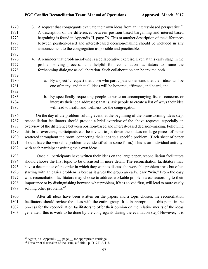- 1770 3. A request that congregants evaluate their own ideas from an interest-based perspective.<sup>61</sup> A description of the differences between position-based bargaining and interest-based bargaining is found in Appendix H, page 76. This or another description of the differences between position-based and interest-based decision-making should be included in any announcement to the congregation as possible and practicable.
- 4. A reminder that problem-solving is a collaborative exercise. Even at this early stage in the problem-solving process, it is helpful for reconciliation facilitators to frame the forthcoming dialogue as collaboration. Such collaboration can be invited both
- a. By a specific request that those who participate understand that their ideas will be one of many, and that all ideas will be honored, affirmed, and heard, and
- b. By specifically requesting people to write an accompanying list of concerns or interests their idea addresses; that is, ask people to create a list of ways their idea will lead to health and wellness for the congregation.

1786 On the day of the problem-solving event, at the beginning of the brainstorming ideas step, reconciliation facilitators should provide a brief overview of the above requests, especially an overview of the difference between position-based and interest-based decision-making. Following this brief overview, participants can be invited to jot down their ideas on large pieces of paper scattered throughout the room, connecting their idea to a specific problem. (Each sheet of paper should have the workable problem area identified in some form.) This is an individual activity, with each participant writing their own ideas.

 Once all participants have written their ideas on the large paper, reconciliation facilitators should choose the first topic to be discussed in more detail. The reconciliation facilitators may have a decent idea of the order in which they want to discuss the workable problem areas but often starting with an easier problem is best as it gives the group an early, easy "win." From the easy win, reconciliation facilitators may choose to address workable problem areas according to their importance or by distinguishing between what problem, if it is solved first, will lead to more easily 1799 solving other problems.<sup>62</sup>

 After all ideas have been written on the papers and a topic chosen, the reconciliation facilitators should review the ideas with the entire group. It is inappropriate at this point in the process for the reconciliation facilitators to offer their opinion on the relative merits of the ideas generated; this is work to be done by the congregants during the evaluation step! However, it is

Again, c.f. Appendix  $\_\_$ , page  $\_\_$  for appropriate verbiage.

For a brief discussion of the issue, c.f. ibid., p. D17.II.A.1-3.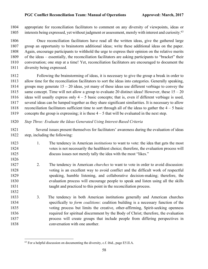appropriate for reconciliation facilitators to comment on any diversity of viewpoints, ideas or 1805 interests being expressed, yet without judgment or assessment, merely with interest and curiosity.<sup>63</sup>

 Once reconciliation facilitators have read all the written ideas, give the gathered large group an opportunity to brainstorm additional ideas; write these additional ideas on the paper. Again, encourage participants to withhold the urge to express their opinion on the relative merits of the ideas – essentially, the reconciliation facilitators are asking participants to "bracket" their conversation; one step at a time! Yet, reconciliation facilitators are encouraged to document the diversity being expressed.

 Following the brainstorming of ideas, it is necessary to give the group a break in order to allow time for the reconciliation facilitators to sort the ideas into categories. Generally speaking, groups may generate 15 – 20 ideas, yet many of these ideas use different verbiage to convey the 1815 same concept. Time will not allow a group to evaluate 20 distinct ideas! However, these  $15 - 20$ 1816 ideas will usually express only  $4 - 5$  basic concepts; that is, even if different verbiage is used, several ideas can be lumped together as they share significant similarities. It is necessary to allow 1818 reconciliation facilitators sufficient time to sort through all of the ideas to gather the  $4 - 5$  basic 1819 concepts the group is expressing; it is these  $4 - 5$  that will be evaluated in the next step.

*Step Three: Evaluate the Ideas Generated Using Interest-Based Criteria*

1821 Several issues present themselves for facilitators' awareness during the evaluation of ideas step, including the following:

- 1. The tendency in American *institutions* to want to vote: the idea that gets the most votes is not necessarily the healthiest choice; therefore, the evaluation process will discuss issues not merely tally the idea with the most "likes."
- 2. The tendency in American *churches* to want to vote in order to avoid discussion: voting is an excellent way to avoid conflict and the difficult work of respectful speaking, humble listening, and collaborative decision-making; therefore, the evaluation process will encourage people to speak and listen using all the skills taught and practiced to this point in the reconciliation process.
- 3. The tendency in both American institutions generally and American churches specifically to *form coalitions*: coalition building is a necessary function of the voting process but limits the creative, other-affirming, Spirit-seeking openness required for spiritual discernment by the Body of Christ; therefore, the evaluation process will create groups that include people from differing perspectives in conversation with one another.

For a helpful discussion on documenting the diversity, c.f. ibid., page E5.II.A.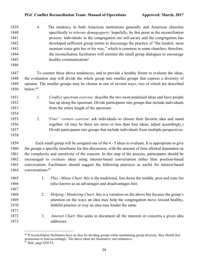- 4. The tendency in both American institutions generally and American churches specifically to *tolerate demagoguery*: hopefully, by this point in the reconciliation process, individuals in the congregation are self-aware and the congregation has developed sufficient group norms to discourage the practice of "the loudest, most insistent voice gets her or his way," which is common in some churches; therefore, 1844 the reconciliation facilitators will monitor the small group dialogues to encourage healthy communication!
- 

 To counter these above tendencies, and to provide a healthy forum to evaluate the ideas, the evaluation step will divide the whole group into smaller groups that express a diversity of opinion. The smaller groups may be chosen in one of several ways, two of which are described 1850 below: <sup>64</sup>

- 1. *Conflict spectrum exercise*: describe the two most polarized ideas and have people line up along the spectrum. Divide participants into groups that include individuals from the entire length of the spectrum.
- 2. *"Four" corners exercise*: ask individuals to choose their favorite idea and stand 1856 together. (It may be there are more or less than four ideas; adjust accordingly.) Divide participants into groups that include individuals from multiple perspectives.
- Each small group will be assigned one of the 4 5 ideas to evaluate. It is appropriate to give the groups a specific timeframe for this discussion, with the amount of time allotted dependent on the complexity and sensitivity of the concern. In this step of the process, participants should be encouraged to *evaluate* ideas using interest-based conversation rather than position-based conversation. Facilitators should suggest the following practices as useful for interest-based 1864 conversations:<sup>65</sup>
- 1. *Plus / Minus Chart*: this is the traditional, line down the middle, pros and cons list (also known as an advantages and disadvantages list). 2. *Helping / Hindering Chart*: this is a variation on the above but focuses the group's attention on the ways an idea may help the congregation move toward healthy, faithful practice or way an idea may hinder the same. 3. *Interest Chart*: this seeks to document all the interests or concerns a given idea addresses.

 If reconciliation facilitators have an idea for dividing groups while maintaining group diversity, they should feel permission to lead accordingly. The above ideas are illustrative, not exhaustive.

<sup>&</sup>lt;sup>65</sup> Ibid., page D20.VI.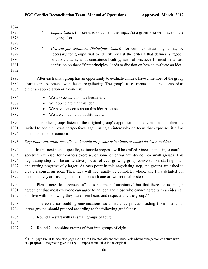| 1874         |                                                                                                                                                                                                                  |
|--------------|------------------------------------------------------------------------------------------------------------------------------------------------------------------------------------------------------------------|
| 1875         | <i>Impact Chart</i> : this seeks to document the impact(s) a given idea will have on the<br>4.                                                                                                                   |
| 1876         | congregation.                                                                                                                                                                                                    |
| 1877         |                                                                                                                                                                                                                  |
| 1878         | Criteria for Solutions (Principles Chart): for complex situations, it may be<br>5.                                                                                                                               |
| 1879         | necessary for groups first to identify or list the criteria that defines a "good"                                                                                                                                |
| 1880         | solution; that is, what constitutes healthy, faithful practice? In most instances,                                                                                                                               |
| 1881         | confusion on these "first principles" leads to division on how to evaluate an idea.                                                                                                                              |
| 1882         |                                                                                                                                                                                                                  |
| 1883         | After each small group has an opportunity to evaluate an idea, have a member of the group                                                                                                                        |
| 1884         | share their assessments with the entire gathering. The group's assessments should be discussed as                                                                                                                |
| 1885         | either an appreciation or a concern:                                                                                                                                                                             |
|              |                                                                                                                                                                                                                  |
| 1886         | We appreciate this idea because<br>$\bullet$                                                                                                                                                                     |
| 1887         | We appreciate that this idea<br>٠                                                                                                                                                                                |
| 1888         | We have concerns about this idea because<br>$\bullet$                                                                                                                                                            |
| 1889         | We are concerned that this idea                                                                                                                                                                                  |
| 1890         | The other groups listen to the original group's appreciations and concerns and then are                                                                                                                          |
| 1891         | invited to add their own perspectives, again using an interest-based focus that expresses itself as                                                                                                              |
| 1892         | an appreciation or concern.                                                                                                                                                                                      |
| 1893         | Step Four: Negotiate specific, actionable proposals using interest-based decision-making                                                                                                                         |
| 1894         | In this next step, a specific, actionable proposal will be crafted. Once again using a conflict                                                                                                                  |
| 1895         | spectrum exercise, four corners exercise, or some other variant, divide into small groups. This                                                                                                                  |
| 1896         | negotiating step will be an iterative process of ever-growing group conversation, starting small                                                                                                                 |
| 1897         | and getting progressively larger. At each point in this negotiating step, the groups are asked to                                                                                                                |
| 1898         | create a consensus idea. Their idea will not usually be complete, whole, and fully detailed but                                                                                                                  |
| 1899         | should convey at least a general solution with one or two actionable steps.                                                                                                                                      |
| 1900         | Please note that "consensus" does not mean "unanimity" but that there exists enough                                                                                                                              |
| 1901         | agreement that most everyone can agree to an idea and those who cannot agree with an idea can                                                                                                                    |
| 1902         | still live with it knowing they have been heard and respected by the group. <sup>66</sup>                                                                                                                        |
| 1903         | The consensus-building conversations, as an iterative process leading from smaller to                                                                                                                            |
| 1904         | larger groups, should proceed according to the following guidelines:                                                                                                                                             |
| 1905<br>1906 | 1. Round $1 -$ start with (a) small groups of four;                                                                                                                                                              |
| 1907         | 2. Round $2$ – combine groups of four into groups of eight;                                                                                                                                                      |
|              | <sup>66</sup> Ibid., page E6.III.B. See also page F20.4.e: "If isolated dissent continues, ask whether the person can 'live with<br>the proposal' or agree to give it a try," emphasis included in the original. |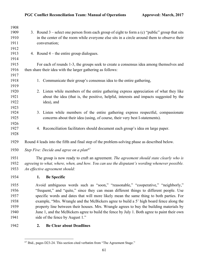| 1908 |                                                                                                  |
|------|--------------------------------------------------------------------------------------------------|
| 1909 | 3. Round $3$ – select one person from each group of eight to form a (c) "public" group that sits |
| 1910 | in the center of the room while everyone else sits in a circle around them to observe their      |
| 1911 | conversation;                                                                                    |
| 1912 |                                                                                                  |
| 1913 | 4. Round $4$ – the entire group dialogues.                                                       |
| 1914 |                                                                                                  |
| 1915 | For each of rounds 1-3, the groups seek to create a consensus idea among themselves and          |
| 1916 | then share their idea with the larger gathering as follows:                                      |
| 1917 |                                                                                                  |
| 1918 | Communicate their group's consensus idea to the entire gathering,<br>1.                          |
| 1919 |                                                                                                  |
| 1920 | 2. Listen while members of the entire gathering express appreciation of what they like           |
| 1921 | about the idea (that is, the positive, helpful, interests and impacts suggested by the           |
| 1922 | idea), and                                                                                       |
| 1923 |                                                                                                  |
| 1924 | 3. Listen while members of the entire gathering express respectful, compassionate                |
| 1925 | concerns about their idea (using, of course, their very best I-statements).                      |
| 1926 |                                                                                                  |
| 1927 | 4. Reconciliation facilitators should document each group's idea on large paper.                 |
| 1928 |                                                                                                  |
| 1929 | Round 4 leads into the fifth and final step of the problem-solving phase as described below.     |
| 1930 | Step Five: Decide and agree on a plan <sup>67</sup>                                              |
| 1931 | The group is now ready to craft an agreement. The agreement should state clearly who is          |
| 1932 | agreeing to what, where, when, and how. You can use the disputant's wording whenever possible.   |
| 1933 | An effective agreement should:                                                                   |
| 1934 | 1. Be Specific                                                                                   |
| 1935 | Avoid ambiguous words such as "soon," "reasonable," "cooperative," "neighborly,"                 |
| 1936 | "frequent," and "quite," since they can mean different things to different people. Use           |
| 1937 | specific words and dates that will more likely mean the same thing to both parties. For          |
| 1938 | example, "Mrs. Wrangle and the McBickers agree to build a 5' high board fence along the          |
| 1939 | property line between their houses. Mrs. Wrangle agrees to buy the building materials by         |
|      |                                                                                                  |

 June 1, and the McBickers agree to build the fence by July 1. Both agree to paint their own 1941 side of the fence by August 1."

# **2. Be Clear about Deadlines**

<sup>&</sup>lt;sup>67</sup> Ibid., pages D23-24. This section cited verbatim from "The Agreement Stage."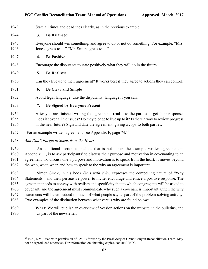| 1943 |    | State all times and deadlines clearly, as in the previous example.                                |
|------|----|---------------------------------------------------------------------------------------------------|
| 1944 | 3. | <b>Be Balanced</b>                                                                                |
| 1945 |    | Everyone should win something, and agree to do or not do something. For example, "Mrs.            |
| 1946 |    | Jones agrees to" "Mr. Smith agrees to"                                                            |
| 1947 | 4. | <b>Be Positive</b>                                                                                |
| 1948 |    | Encourage the disputants to state positively what they will do in the future.                     |
| 1949 | 5. | <b>Be Realistic</b>                                                                               |
| 1950 |    | Can they live up to their agreement? It works best if they agree to actions they can control.     |
| 1951 | 6. | <b>Be Clear and Simple</b>                                                                        |
| 1952 |    | Avoid legal language. Use the disputants' language if you can.                                    |
| 1953 | 7. | <b>Be Signed by Everyone Present</b>                                                              |
| 1954 |    | After you are finished writing the agreement, read it to the parties to get their response.       |
| 1955 |    | Does it cover all the issues? Do they pledge to live up to it? Is there a way to review progress  |
| 1956 |    | in the near future? Sign and date the agreement, giving a copy to both parties.                   |
| 1957 |    | For an example written agreement, see Appendix F, page 74.68                                      |
| 1958 |    | And Don't Forget to Speak from the Heart                                                          |
| 1959 |    | An additional section to include that is not a part the example written agreement in              |
| 1960 |    | Appendix __, is to ask participants' to discuss their purpose and motivation in covenanting to an |
| 1961 |    | agreement. To discuss one's purpose and motivation is to speak from the heart; it moves beyond    |
| 1962 |    | the who, what, when and how to speak to the why an agreement is important.                        |
| 1963 |    | Simon Sinek, in his book Start with Why, expresses the compelling nature of "Why                  |
| 1964 |    | Statements," and their persuasive power to invite, encourage and entice a positive response. The  |
| 1965 |    | agreement needs to convey with realism and specificity that to which congregants will be asked to |
| 1966 |    | covenant, and the agreement must communicate why such a covenant is important. Often the why      |
| 1967 |    | statements will be embedded in much of what people say as part of the problem-solving activity.   |
| 1968 |    | Two examples of the distinction between what versus why are found below:                          |

 **What:** We will publish an overview of Session actions on the website, in the bulletins, and as part of the newsletter.

 Ibid., D24. Used with permission of LMPC for use by the Presbytery of Grand Canyon Reconciliation Team. May not be reproduced otherwise. For information on obtaining copies, contact LMPC.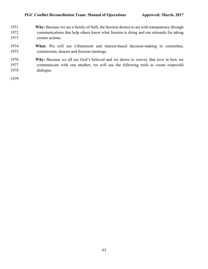- **Why:** Because we are a family of faith, the Session desires to act with transparency through communications that help others know what Session is doing and our rationale for taking certain actions.
- **What:** We will use I-Statement and interest-based decision-making in committee, commission, deacon and Session meetings.
- **Why:** Because we all are God's beloved and we desire to convey that love in how we communicate with one another, we will use the following tools to create respectful dialogue.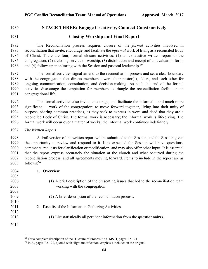## **STAGE THREE: Engage Creatively, Connect Constructively**

## **Closing Worship and Final Report**

 The Reconciliation process requires closure of the *formal* activities involved in reconciliation that invite, encourage, and facilitate the *informal* work of living as a reconciled Body of Christ. There are four, formal closure activities: (1) an exhaustive written report to the congregation, (2) a closing service of worship, (3) distribution and receipt of an evaluation form, 1986 and (4) follow-up monitoring with the Session and pastoral leadership.<sup>69</sup>

 The formal activities signal an end to the reconciliation process and set a clear boundary with the congregation that directs members toward their pastor(s), elders, and each other for ongoing communication, consultation, and decision-making. As such the end of the formal activities discourage the temptation for members to triangle the reconciliation facilitators in congregational life.

 The formal activities also invite, encourage, and facilitate the informal – and much more significant – work of the congregation: to move forward together, living into their unity of purpose, sharing common practices, as they seek to express in word and deed that they are a reconciled Body of Christ. The formal work is necessary; the informal work is life-giving. The formal work will occur over a matter of weeks; the informal work continues indefinitely.

*The Written Report*

 A draft version of the written report will be submitted to the Session, and the Session given the opportunity to review and respond to it. It is expected the Session will have questions, comments, requests for clarification or modification, and may also offer other input. It is essential that the report express accurately the situation at the church and what occurred during the reconciliation process, and all agreements moving forward. Items to include in the report are as follows:<sup>70</sup>

| 2004 | Overview                                                                             |
|------|--------------------------------------------------------------------------------------|
| 2005 |                                                                                      |
| 2006 | (1) A brief description of the presenting issues that led to the reconciliation team |
| 2007 | working with the congregation.                                                       |
| 2008 |                                                                                      |
| 2009 | (2) A brief description of the reconciliation process.                               |
| 2010 |                                                                                      |
| 2011 | 2. Results of the Information Gathering Activities                                   |
| 2012 |                                                                                      |
| 2013 | (1) List statistically all pertinent information from the questionnaires.            |
| 2014 |                                                                                      |

For a complete description of the "Closure of Process," c.f. MSTI, pages F21-24.

Ibid., pages F21-22, quoted with slight modification, emphasis included in the original.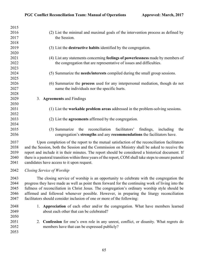| 2015 |                                                                                                          |
|------|----------------------------------------------------------------------------------------------------------|
| 2016 | (2) List the minimal and maximal goals of the intervention process as defined by                         |
| 2017 | the Session.                                                                                             |
| 2018 |                                                                                                          |
| 2019 | (3) List the <b>destructive habits</b> identified by the congregation.                                   |
| 2020 |                                                                                                          |
| 2021 | (4) List any statements concerning feelings of powerlessness made by members of                          |
| 2022 | the congregation that are representative of issues and difficulties.                                     |
| 2023 |                                                                                                          |
| 2024 | (5) Summarize the needs/interests compiled during the small group sessions.                              |
| 2025 |                                                                                                          |
| 2026 | (6) Summarize the <b>process</b> used for any interpersonal mediation, though do not                     |
| 2027 | name the individuals nor the specific hurts.                                                             |
| 2028 |                                                                                                          |
| 2029 | <b>Agreements and Findings</b><br>3.                                                                     |
| 2030 |                                                                                                          |
| 2031 | (1) List the workable problem areas addressed in the problem-solving sessions.                           |
| 2032 |                                                                                                          |
| 2033 | (2) List the <b>agreements</b> affirmed by the congregation.                                             |
| 2034 |                                                                                                          |
| 2035 | reconciliation facilitators'<br>findings,<br>(3) Summarize<br>the<br>including<br>the                    |
| 2036 | congregation's strengths and any recommendations the facilitators have.                                  |
| 2037 | Upon completion of the report to the mutual satisfaction of the reconciliation facilitators              |
| 2038 | and the Session, both the Session and the Commission on Ministry shall be asked to receive the           |
| 2039 | report and include it in their minutes. The report should be considered a historical document. If        |
| 2040 | there is a pastoral transition within three years of the report, COM shall take steps to ensure pastoral |
| 2041 | candidates have access to it upon request.                                                               |
| 2042 |                                                                                                          |
|      | Closing Service of Worship                                                                               |
| 2043 | The closing service of worship is an opportunity to celebrate with the congregation the                  |
| 2044 | progress they have made as well as point them forward for the continuing work of living into the         |
| 2045 | fullness of reconciliation in Christ Jesus. The congregation's ordinary worship style should be          |
| 2046 | affirmed and followed whenever possible. However, in preparing the liturgy reconciliation                |
| 2047 | facilitators should consider inclusion of one or more of the following:                                  |
| 2048 | 1. Appreciation of each other and/or the congregation. What have members learned                         |
| 2049 | about each other that can be celebrated?                                                                 |
| 2050 |                                                                                                          |
| 2051 | 2. Confession for one's own role in any unrest, conflict, or disunity. What regrets do                   |
| 2052 | members have that can be expressed publicly?                                                             |
| 2053 |                                                                                                          |
|      |                                                                                                          |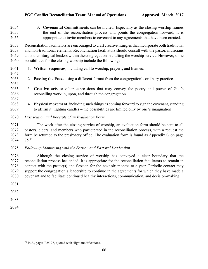| 2054 | 3. Covenantal Commitments can be invited. Especially as the closing worship frames                       |
|------|----------------------------------------------------------------------------------------------------------|
| 2055 | the end of the reconciliation process and points the congregation forward, it is                         |
| 2056 | appropriate to invite members to covenant to any agreements that have been created.                      |
| 2057 | Reconciliation facilitators are encouraged to craft creative liturgies that incorporate both traditional |
| 2058 | and non-traditional elements. Reconciliation facilitators should consult with the pastor, musicians      |
| 2059 | and other liturgical leaders within the congregation in crafting the worship service. However, some      |
| 2060 | possibilities for the closing worship include the following:                                             |

#### 1. **Written responses**, including call to worship, prayers, and litanies.

- 2. **Passing the Peace** using a different format from the congregation's ordinary practice.
- 3. **Creative arts** or other expressions that may convey the poetry and power of God's reconciling work in, upon, and through the congregation.
- 4. **Physical movement**, including such things as coming forward to sign the covenant, standing to affirm it, lighting candles – the possibilities are limited only by one's imagination!
- *Distribution and Receipts of an Evaluation Form*

 The week after the closing service of worship, an evaluation form should be sent to all pastors, elders, and members who participated in the reconciliation process, with a request the form be returned to the presbytery office. The evaluation form is found as Appendix G on page  $75.71$ 

*Follow-up Monitoring with the Session and Pastoral Leadership*

 Although the closing service of worship has conveyed a clear boundary that the reconciliation process has ended, it is appropriate for the reconciliation facilitators to remain in contact with the pastor(s) and Session for the next six months to a year. Periodic contact may support the congregation's leadership to continue in the agreements for which they have made a covenant and to facilitate continued healthy interactions, communication, and decision-making.

- 
- 
- 
- 

Ibid., pages F25-26, quoted with slight modifications.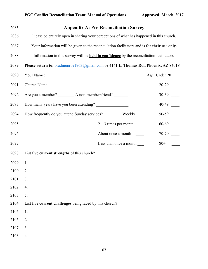| 2085 | <b>Appendix A: Pre-Reconciliation Survey</b>                                                     |               |
|------|--------------------------------------------------------------------------------------------------|---------------|
| 2086 | Please be entirely open in sharing your perceptions of what has happened in this church.         |               |
| 2087 | Your information will be given to the reconciliation facilitators and is for their use only.     |               |
| 2088 | Information in this survey will be <b>held in confidence</b> by the reconciliation facilitators. |               |
| 2089 | Please return to: <b>bradmunroe1963@gmail.com</b> or 4141 E. Thomas Rd., Phoenix, AZ 85018       |               |
| 2090 |                                                                                                  | Age: Under 20 |
| 2091 |                                                                                                  |               |
| 2092 |                                                                                                  |               |
| 2093 | How many years have you been attending?                                                          |               |
| 2094 | How frequently do you attend Sunday services?                                                    |               |
| 2095 |                                                                                                  |               |
| 2096 | About once a month                                                                               |               |
| 2097 | Less than once a month _______                                                                   | $80 +$        |
| 2098 | List five current strengths of this church?                                                      |               |
| 2099 | 1.                                                                                               |               |
| 2100 | 2.                                                                                               |               |
| 2101 | 3.                                                                                               |               |
| 2102 | 4.                                                                                               |               |
| 2103 | 5.                                                                                               |               |
| 2104 | List five current challenges being faced by this church?                                         |               |
| 2105 | 1.                                                                                               |               |
| 2106 | 2.                                                                                               |               |
| 2107 | 3.                                                                                               |               |
| 2108 | 4.                                                                                               |               |
|      |                                                                                                  |               |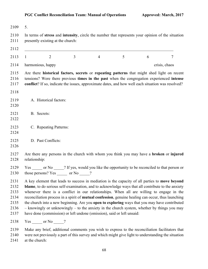| 2109                                                 | 5.                                                                                                                                                                                                                                                                                                                                                                                                                                                                                                                                                                                                                                                                              |  |  |  |  |  |
|------------------------------------------------------|---------------------------------------------------------------------------------------------------------------------------------------------------------------------------------------------------------------------------------------------------------------------------------------------------------------------------------------------------------------------------------------------------------------------------------------------------------------------------------------------------------------------------------------------------------------------------------------------------------------------------------------------------------------------------------|--|--|--|--|--|
| 2110<br>2111                                         | In terms of stress and intensity, circle the number that represents your opinion of the situation<br>presently existing at the church:                                                                                                                                                                                                                                                                                                                                                                                                                                                                                                                                          |  |  |  |  |  |
| 2112                                                 |                                                                                                                                                                                                                                                                                                                                                                                                                                                                                                                                                                                                                                                                                 |  |  |  |  |  |
| 2113                                                 | $\overline{3}$<br>$\overline{2}$<br>$\overline{4}$<br>5<br>6<br>$\tau$<br>$\mathbf{1}$                                                                                                                                                                                                                                                                                                                                                                                                                                                                                                                                                                                          |  |  |  |  |  |
| 2114                                                 | harmonious, happy<br>crisis, chaos                                                                                                                                                                                                                                                                                                                                                                                                                                                                                                                                                                                                                                              |  |  |  |  |  |
| 2115<br>2116<br>2117                                 | Are there historical factors, secrets or repeating patterns that might shed light on recent<br>tensions? Were there previous times in the past when the congregation experienced intense<br>conflict? If so, indicate the issues, approximate dates, and how well each situation was resolved?                                                                                                                                                                                                                                                                                                                                                                                  |  |  |  |  |  |
| 2118                                                 |                                                                                                                                                                                                                                                                                                                                                                                                                                                                                                                                                                                                                                                                                 |  |  |  |  |  |
| 2119<br>2120                                         | A. Historical factors:                                                                                                                                                                                                                                                                                                                                                                                                                                                                                                                                                                                                                                                          |  |  |  |  |  |
| 2121<br>2122                                         | B. Secrets:                                                                                                                                                                                                                                                                                                                                                                                                                                                                                                                                                                                                                                                                     |  |  |  |  |  |
| 2123<br>2124                                         | C. Repeating Patterns:                                                                                                                                                                                                                                                                                                                                                                                                                                                                                                                                                                                                                                                          |  |  |  |  |  |
| 2125<br>2126                                         | D. Past Conflicts:                                                                                                                                                                                                                                                                                                                                                                                                                                                                                                                                                                                                                                                              |  |  |  |  |  |
| 2127<br>2128                                         | Are there any persons in the church with whom you think you may have a <b>broken</b> or <b>injured</b><br>relationship:                                                                                                                                                                                                                                                                                                                                                                                                                                                                                                                                                         |  |  |  |  |  |
| 2129<br>2130                                         | Yes or No ? If yes, would you like the opportunity to be reconciled to that person or<br>?<br>those persons? Yes<br>or No                                                                                                                                                                                                                                                                                                                                                                                                                                                                                                                                                       |  |  |  |  |  |
| 2131<br>2132<br>2133<br>2134<br>2135<br>2136<br>2137 | A key element that leads to success in mediation is the capacity of all parties to move beyond<br>blame, to do serious self-examination, and to acknowledge ways that all contribute to the anxiety<br>whenever there is a conflict in our relationships. When all are willing to engage in the<br>reconciliation process in a spirit of mutual confession, genuine healing can occur, thus launching<br>the church into a new beginning. Are you open to exploring ways that you may have contributed<br>- knowingly or unknowingly - to the anxiety in the church system, whether by things you may<br>have done (commission) or left undone (omission), said or left unsaid: |  |  |  |  |  |

2138 Yes \_\_\_\_\_ or No \_\_\_\_?

 Make any brief, additional comments you wish to express to the reconciliation facilitators that were not previously a part of this survey and which might give light to understanding the situation

at the church: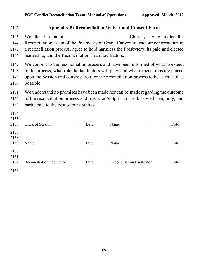|                                                       |      | <b>Appendix B: Reconciliation Waiver and Consent Form</b>                                                                                                                                                                                                            |      |
|-------------------------------------------------------|------|----------------------------------------------------------------------------------------------------------------------------------------------------------------------------------------------------------------------------------------------------------------------|------|
| We, the Session of                                    |      | Church, having invited the<br>Reconciliation Team of the Presbytery of Grand Canyon to lead our congregation in                                                                                                                                                      |      |
| leadership, and the Reconciliation Team facilitators. |      | a reconciliation process, agree to hold harmless the Presbytery, its paid and elected                                                                                                                                                                                |      |
| possible.                                             |      | We consent to the reconciliation process and have been informed of what to expect<br>in the process, what role the facilitators will play, and what expectations are placed<br>upon the Session and congregation for the reconciliation process to be as fruitful as |      |
| participate to the best of our abilities.             |      | We understand no promises have been made nor can be made regarding the outcome<br>of the reconciliation process and trust God's Spirit to speak as we listen, pray, and                                                                                              |      |
| Clerk of Session                                      | Date | Name                                                                                                                                                                                                                                                                 | Date |
| Name                                                  | Date |                                                                                                                                                                                                                                                                      |      |
|                                                       |      | Name                                                                                                                                                                                                                                                                 | Date |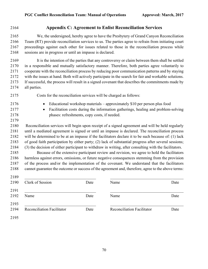# **Appendix C: Agreement to Enlist Reconciliation Services**

 We, the undersigned, hereby agree to have the Presbytery of Grand Canyon Reconciliation Team (RT) provide reconciliation services to us. The parties agree to refrain from initiating court proceedings against each other for issues related to those in the reconciliation process while sessions are in progress or until an impasse is declared.

 It is the intention of the parties that any controversy or claim between them shall be settled in a responsible and mutually satisfactory manner. Therefore, both parties agree voluntarily to cooperate with the reconciliation process by reducing poor communication patterns and by staying with the issues at hand. Both will actively participate in the search for fair and workable solutions. If successful, the process will result in a signed covenant that describes the commitments made by all parties.

- Costs for the reconciliation services will be charged as follows:
- Educational workshop materials approximately \$10 per person plus food
	-

 • Facilitation costs during the information gatherings, healing and problem-solving phases: refreshments, copy costs, if needed.

 Reconciliation services will begin upon receipt of a signed agreement and will be held regularly until a mediated agreement is signed or until an impasse is declared. The reconciliation process will be determined to be at an impasse if the facilitators declare it to be such because of: (1) lack of good faith participation by either party; (2) lack of substantial progress after several sessions; (3) the decision of either participant to withdraw in writing, after consulting with the facilitators.

 Because of the extensive participant review and revision, we agree to hold the facilitators harmless against errors, omissions, or future negative consequences stemming from the provision of the process and/or the implementation of the covenant. We understand that the facilitators cannot guarantee the outcome or success of the agreement and, therefore, agree to the above terms:

 \_\_\_\_\_\_\_\_\_\_\_\_\_\_\_\_\_\_\_\_\_\_\_\_\_\_\_\_\_\_\_\_\_\_\_ \_\_\_\_\_\_\_\_\_\_\_\_\_\_\_\_\_\_\_\_\_\_\_\_\_\_\_\_\_\_\_\_\_\_\_\_ 2190 Clerk of Session Date Name Name Date \_\_\_\_\_\_\_\_\_\_\_\_\_\_\_\_\_\_\_\_\_\_\_\_\_\_\_\_\_\_\_\_\_\_\_ \_\_\_\_\_\_\_\_\_\_\_\_\_\_\_\_\_\_\_\_\_\_\_\_\_\_\_\_\_\_\_\_\_\_\_\_ 2192 Name Date Name Date Name Reconciliation Facilitator Date Reconciliation Facilitator Date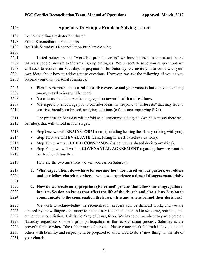| 2196                                         | <b>Appendix D: Sample Problem-Solving Letter</b>                                                                                                                                                                                                                                                                                                                                                                                                                                                                                                                                                            |
|----------------------------------------------|-------------------------------------------------------------------------------------------------------------------------------------------------------------------------------------------------------------------------------------------------------------------------------------------------------------------------------------------------------------------------------------------------------------------------------------------------------------------------------------------------------------------------------------------------------------------------------------------------------------|
| 2197<br>2198<br>2199<br>2200                 | To: Reconciling Presbyterian Church<br>From: Reconciliation Facilitators<br>Re: This Saturday's Reconciliation Problem-Solving                                                                                                                                                                                                                                                                                                                                                                                                                                                                              |
| 2201<br>2202<br>2203<br>2204<br>2205         | Listed below are the "workable problem areas" we have defined as expressed in the<br>interests people brought to the small group dialogues. We present these to you as questions we<br>will seek to address on Saturday. In preparation for Saturday, we invite you to come with your<br>own ideas about how to address these questions. However, we ask the following of you as you<br>prepare your own, personal responses:                                                                                                                                                                               |
| 2206<br>2207<br>2208<br>2209<br>2210         | Please remember this is a <b>collaborative exercise</b> and your voice is but one voice among<br>$\bullet$<br>many, yet all voices will be heard.<br>Your ideas should move the congregation toward health and wellness.<br>$\bullet$<br>We especially encourage you to consider ideas that respond to "interests" that may lead to<br>$\bullet$<br>creative, broadly embraced, unifying solutions (c.f. the accompanying PDF).                                                                                                                                                                             |
| 2211<br>2212                                 | The process on Saturday will unfold as a "structured dialogue," (which is to say there will<br>be rules), that will unfold in four stages:                                                                                                                                                                                                                                                                                                                                                                                                                                                                  |
| 2213<br>2214<br>2215<br>2216<br>2217         | Step One: we will BRAINSTORM ideas, (including hearing the ideas you bring with you),<br>$\bullet$<br>Step Two: we will EVALUATE ideas, (using interest-based evaluations),<br>$\bullet$<br>Step Three: we will BUILD CONSENSUS, (using interest-based decision-making),<br>$\bullet$<br>Step Four: we will write a COVENANTAL AGREEMENT regarding how we want to<br>be the church together.                                                                                                                                                                                                                |
| 2218                                         | Here are the two questions we will address on Saturday:                                                                                                                                                                                                                                                                                                                                                                                                                                                                                                                                                     |
| 2219<br>2220<br>2221<br>2222                 | 1. What expectations do we have for one another – for ourselves, our pastors, our elders<br>and our fellow church members – when we experience a time of disagreement/crisis?<br>2. How do we create an appropriate (Reformed) process that allows for congregational                                                                                                                                                                                                                                                                                                                                       |
| 2223<br>2224                                 | input to Session on issues that affect the life of the church and also allows Session to<br>communicate to the congregation the hows, whys and whens behind their decisions?                                                                                                                                                                                                                                                                                                                                                                                                                                |
| 2225<br>2226<br>2227<br>2228<br>2229<br>2230 | We wish to acknowledge the reconciliation process can be difficult work, and we are<br>amazed by the willingness of many to be honest with one another and to seek true, spiritual, and<br>authentic reconciliation. This is the Way of Jesus, folks. We invite all members to participate on<br>Saturday regardless of one's prior participation in the reconciliation process. Saturday is the<br>proverbial place where "the rubber meets the road." Please come speak the truth in love, listen to<br>others with humility and respect, and be prepared to allow God to do a "new thing" in the life of |

your church.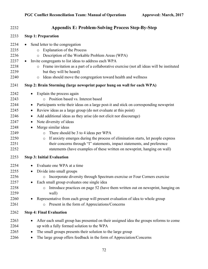| 2232                                                                                 | <b>Appendix E: Problem-Solving Process Step-By-Step</b>                                                                                                                                                                                                                                                                                                                                                                                                                                                                                                                                                                                                                                                        |
|--------------------------------------------------------------------------------------|----------------------------------------------------------------------------------------------------------------------------------------------------------------------------------------------------------------------------------------------------------------------------------------------------------------------------------------------------------------------------------------------------------------------------------------------------------------------------------------------------------------------------------------------------------------------------------------------------------------------------------------------------------------------------------------------------------------|
| 2233                                                                                 | <b>Step 1: Preparation</b>                                                                                                                                                                                                                                                                                                                                                                                                                                                                                                                                                                                                                                                                                     |
| 2234<br>2235<br>2236<br>2237<br>2238<br>2239<br>2240                                 | Send letter to the congregation<br><b>Explanation of the Process</b><br>$\circ$<br>Description of the Workable Problem Areas (WPA)<br>$\circ$<br>Invite congregants to list ideas to address each WPA<br>$\bullet$<br>Frame invitation as a part of a collaborative exercise (not all ideas will be instituted<br>$\circ$<br>but they will be heard)<br>Ideas should move the congregation toward health and wellness<br>$\circ$                                                                                                                                                                                                                                                                               |
| 2241                                                                                 | Step 2: Brain Storming (large newsprint paper hung on wall for each WPA)                                                                                                                                                                                                                                                                                                                                                                                                                                                                                                                                                                                                                                       |
| 2242<br>2243<br>2244<br>2245<br>2246<br>2247<br>2248<br>2249<br>2250<br>2251<br>2252 | Explain the process again<br>Position based vs. Interest based<br>Participants write their ideas on a large post-it and stick on corresponding newsprint<br>$\bullet$<br>Review ideas as a large group (do not evaluate at this point)<br>$\bullet$<br>Add additional ideas as they arise (do not elicit nor discourage)<br>$\bullet$<br>Note diversity of ideas<br>$\bullet$<br>Merge similar ideas<br>There should be 3 to 4 ideas per WPA<br>$\circ$<br>If anxiety emerges during the process of elimination starts, let people express<br>$\circ$<br>their concerns through "I" statements, impact statements, and preference<br>statements (have examples of these written on newsprint, hanging on wall) |
| 2253                                                                                 | <b>Step 3: Initial Evaluation</b>                                                                                                                                                                                                                                                                                                                                                                                                                                                                                                                                                                                                                                                                              |
| 2254<br>2255<br>2256<br>2257<br>2258<br>2259<br>2260<br>2261                         | Evaluate one WPA at a time<br>$\bullet$<br>Divide into small groups<br>$\bullet$<br>Incorporate diversity through Spectrum exercise or Four Corners exercise<br>$\circ$<br>Each small group evaluates one single idea<br>Introduce practices on page 52 (have them written out on newsprint, hanging on<br>$\circ$<br>wall)<br>Representative from each group will present evaluation of idea to whole group<br>Present in the form of Appreciations/Concerns<br>$\circ$                                                                                                                                                                                                                                       |
| 2262                                                                                 | <b>Step 4: Final Evaluation</b>                                                                                                                                                                                                                                                                                                                                                                                                                                                                                                                                                                                                                                                                                |
| 2263<br>2264<br>2265<br>2266                                                         | After each small group has presented on their assigned idea the groups reforms to come<br>up with a fully formed solution to the WPA<br>The small groups presents their solution to the large group<br>٠<br>The large group offers feedback in the form of Appreciation/Concerns<br>٠                                                                                                                                                                                                                                                                                                                                                                                                                          |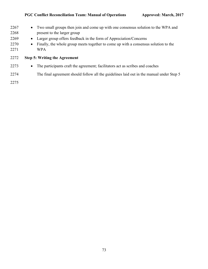| 2267<br>2268<br>2269<br>2270<br>2271 | • Two small groups then join and come up with one consensus solution to the WPA and<br>present to the larger group<br>Larger group offers feedback in the form of Appreciation/Concerns<br>$\bullet$<br>Finally, the whole group meets together to come up with a consensus solution to the<br>$\bullet$<br><b>WPA</b> |
|--------------------------------------|------------------------------------------------------------------------------------------------------------------------------------------------------------------------------------------------------------------------------------------------------------------------------------------------------------------------|
| 2272                                 | <b>Step 5: Writing the Agreement</b>                                                                                                                                                                                                                                                                                   |
| 2273                                 | The participants craft the agreement; facilitators act as scribes and coaches<br>$\bullet$                                                                                                                                                                                                                             |
| 2274                                 | The final agreement should follow all the guidelines laid out in the manual under Step 5                                                                                                                                                                                                                               |
| 2275                                 |                                                                                                                                                                                                                                                                                                                        |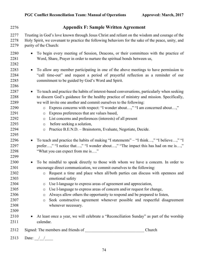| 2276                                                                                 | <b>Appendix F: Sample Written Agreement</b>                                                                                                                                                                                                                                                                                                                                                                                                                                                                                                                                                                                                                                                                                                   |
|--------------------------------------------------------------------------------------|-----------------------------------------------------------------------------------------------------------------------------------------------------------------------------------------------------------------------------------------------------------------------------------------------------------------------------------------------------------------------------------------------------------------------------------------------------------------------------------------------------------------------------------------------------------------------------------------------------------------------------------------------------------------------------------------------------------------------------------------------|
| 2277<br>2278<br>2279                                                                 | Trusting in God's love known through Jesus Christ and reliant on the wisdom and courage of the<br>Holy Spirit, we covenant to practice the following behaviors for the sake of the peace, unity, and<br>purity of the Church:                                                                                                                                                                                                                                                                                                                                                                                                                                                                                                                 |
| 2280<br>2281<br>2282                                                                 | To begin every meeting of Session, Deacons, or their committees with the practice of<br>Word, Share, Prayer in order to nurture the spiritual bonds between us,                                                                                                                                                                                                                                                                                                                                                                                                                                                                                                                                                                               |
| 2283<br>2284<br>2285<br>2286                                                         | To allow any member participating in one of the above meetings to have permission to<br>"call time-out" and request a period of prayerful reflection as a reminder of our<br>commitment to be guided by God's Word and Spirit.                                                                                                                                                                                                                                                                                                                                                                                                                                                                                                                |
| 2287<br>2288<br>2289<br>2290<br>2291<br>2292<br>2293<br>2294                         | To teach and practice the habits of interest-based conversations, particularly when seeking<br>$\bullet$<br>to discern God's guidance for the healthy practice of ministry and mission. Specifically,<br>we will invite one another and commit ourselves to the following:<br>Express concerns with respect: "I wonder about," "I am concerned about,"<br>$\circ$<br>Express preferences that are values based,<br>$\circ$<br>List concerns and preferences (interests) of all present<br>$\circ$<br>before seeking a solution,<br>$\circ$<br>Practice B.E.N.D. - Brainstorm, Evaluate, Negotiate, Decide.<br>$\circ$                                                                                                                         |
| 2295<br>2296<br>2297<br>2298<br>2299                                                 | To teach and practice the habits of making "I statements" - "I think," "I believe," "I<br>$\bullet$<br>prefer," "I notice that," "I wonder about," "The impact this has had on me is,"<br>"What you can expect from me is"                                                                                                                                                                                                                                                                                                                                                                                                                                                                                                                    |
| 2300<br>2301<br>2302<br>2303<br>2304<br>2305<br>2306<br>2307<br>2308<br>2309<br>2310 | To be mindful to speak directly to those with whom we have a concern. In order to<br>encourage direct communication, we commit ourselves to the following:<br>Request a time and place when all/both parties can discuss with openness and<br>$\circ$<br>emotional safety<br>Use I-language to express areas of agreement and appreciation,<br>$\circ$<br>Use I-language to express areas of concern and/or request for change,<br>$\circ$<br>Always allow others the opportunity to respond and be prepared to listen,<br>$\circ$<br>Seek constructive agreement whenever possible and respectful disagreement<br>$\circ$<br>whenever necessary.<br>At least once a year, we will celebrate a "Reconciliation Sunday" as part of the worship |
| 2311                                                                                 | calendar.                                                                                                                                                                                                                                                                                                                                                                                                                                                                                                                                                                                                                                                                                                                                     |
| 2312                                                                                 | Church                                                                                                                                                                                                                                                                                                                                                                                                                                                                                                                                                                                                                                                                                                                                        |
| 2313                                                                                 | Date: $\frac{1}{\sqrt{1-\frac{1}{2}}}$                                                                                                                                                                                                                                                                                                                                                                                                                                                                                                                                                                                                                                                                                                        |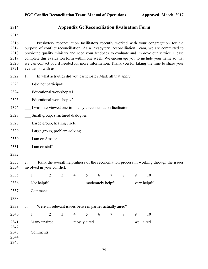## **Appendix G: Reconciliation Evaluation Form**

 Presbytery reconciliation facilitators recently worked with your congregation for the purpose of conflict reconciliation. As a Presbytery Reconciliation Team, we are committed to providing quality ministry and need your feedback to evaluate and improve our service. Please complete this evaluation form within one week. We encourage you to include your name so that we can contact you if needed for more information. Thank you for taking the time to share your evaluation with us.

- 1. In what activities did you participate? Mark all that apply:
- \_\_\_ I did not participate
- **Educational workshop #1**
- 2325 Educational workshop #2
- 2326 I was interviewed one-to-one by a reconciliation facilitator
- 2327 \_\_\_ Small group, structured dialogues
- \_\_\_ Large group, healing circle
- 2329 Large group, problem-solving
- 2330 I am on Session
- 2331 \_\_ I am on staff
- 

 2. Rank the overall helpfulness of the reconciliation process in working through the issues involved in your conflict.

| 2335 |    | 1            | $\overline{2}$                                           | 3 | $\overline{4}$ | 5                  | 6 | 7            | 8 | 9          | 10 |
|------|----|--------------|----------------------------------------------------------|---|----------------|--------------------|---|--------------|---|------------|----|
| 2336 |    | Not helpful  |                                                          |   |                | moderately helpful |   | very helpful |   |            |    |
| 2337 |    | Comments:    |                                                          |   |                |                    |   |              |   |            |    |
| 2338 |    |              |                                                          |   |                |                    |   |              |   |            |    |
| 2339 | 3. |              | Were all relevant issues between parties actually aired? |   |                |                    |   |              |   |            |    |
| 2340 |    | 1            | 2                                                        | 3 | $\overline{4}$ | 5                  | 6 | 7            | 8 | 9          | 10 |
| 2341 |    | Many unaired |                                                          |   | mostly aired   |                    |   |              |   | well aired |    |
| 2342 |    |              |                                                          |   |                |                    |   |              |   |            |    |
| 2343 |    | Comments:    |                                                          |   |                |                    |   |              |   |            |    |
| 2344 |    |              |                                                          |   |                |                    |   |              |   |            |    |
| 2345 |    |              |                                                          |   |                |                    |   |              |   |            |    |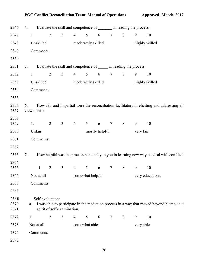## PGC Conflict Reconciliation Team: Manual of Operations **Approved: March, 2017**

| 2346                  | 4.           |                  |                |                             |                 |                    |                | Evaluate the skill and competence of ________ in leading the process. |                |                |                                                                                             |  |
|-----------------------|--------------|------------------|----------------|-----------------------------|-----------------|--------------------|----------------|-----------------------------------------------------------------------|----------------|----------------|---------------------------------------------------------------------------------------------|--|
| 2347                  | $\mathbf{1}$ |                  | $\overline{2}$ | 3 <sup>1</sup>              | $4\overline{ }$ | 5 <sup>5</sup>     | 6              | $7\phantom{.0}$                                                       | 8              | 9              | 10                                                                                          |  |
| 2348                  |              | Unskilled        |                |                             |                 | moderately skilled |                |                                                                       | highly skilled |                |                                                                                             |  |
| 2349                  |              | Comments:        |                |                             |                 |                    |                |                                                                       |                |                |                                                                                             |  |
| 2350                  |              |                  |                |                             |                 |                    |                |                                                                       |                |                |                                                                                             |  |
| 2351                  | 5.           |                  |                |                             |                 |                    |                | Evaluate the skill and competence of ______ in leading the process.   |                |                |                                                                                             |  |
| 2352                  | $\mathbf{1}$ |                  | $\overline{2}$ | $\overline{3}$              | $4\overline{ }$ | 5 <sup>5</sup>     | 6              | $\tau$                                                                | $\,8\,$        | 9              | 10                                                                                          |  |
| 2353                  |              | Unskilled        |                |                             |                 | moderately skilled |                |                                                                       |                | highly skilled |                                                                                             |  |
| 2354                  |              | Comments:        |                |                             |                 |                    |                |                                                                       |                |                |                                                                                             |  |
| 2355                  |              |                  |                |                             |                 |                    |                |                                                                       |                |                |                                                                                             |  |
| 2356<br>2357          | 6.           | viewpoints?      |                |                             |                 |                    |                |                                                                       |                |                | How fair and impartial were the reconciliation facilitators in eliciting and addressing all |  |
| 2358<br>2359          | 1.           |                  | $\overline{2}$ | $\mathfrak{Z}$              | $\overline{4}$  | 5 <sup>5</sup>     | 6              | $\tau$                                                                | $8\,$          | 9              | 10                                                                                          |  |
| 2360                  |              | Unfair           |                |                             |                 |                    | mostly helpful |                                                                       |                | very fair      |                                                                                             |  |
| 2361                  |              | Comments:        |                |                             |                 |                    |                |                                                                       |                |                |                                                                                             |  |
| 2362                  |              |                  |                |                             |                 |                    |                |                                                                       |                |                |                                                                                             |  |
| 2363                  | 7.           |                  |                |                             |                 |                    |                |                                                                       |                |                | How helpful was the process personally to you in learning new ways to deal with conflict?   |  |
| 2364<br>2365          |              | $\mathbf{1}$     | $\overline{2}$ | $\mathfrak{Z}$              | $\overline{4}$  | $5\overline{)}$    | 6              | $\tau$                                                                | 8              | 9              | 10                                                                                          |  |
| 2366                  |              | Not at all       |                |                             |                 | somewhat helpful   |                |                                                                       |                |                | very educational                                                                            |  |
| 2367                  |              | Comments:        |                |                             |                 |                    |                |                                                                       |                |                |                                                                                             |  |
| 2368                  |              |                  |                |                             |                 |                    |                |                                                                       |                |                |                                                                                             |  |
| 236%.<br>2370<br>2371 | a.           | Self-evaluation: |                | spirit of self-examination. |                 |                    |                |                                                                       |                |                | I was able to participate in the mediation process in a way that moved beyond blame, in a   |  |
| 2372                  | $\mathbf{1}$ |                  | $\overline{2}$ | 3                           | $\overline{4}$  | $5\overline{)}$    | 6              | $\tau$                                                                | 8              | 9              | 10                                                                                          |  |
| 2373                  |              | Not at all       |                |                             |                 | somewhat able      |                |                                                                       |                | very able      |                                                                                             |  |
| 2374                  |              | Comments:        |                |                             |                 |                    |                |                                                                       |                |                |                                                                                             |  |
| 2375                  |              |                  |                |                             |                 |                    |                |                                                                       |                |                |                                                                                             |  |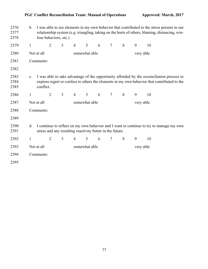## PGC Conflict Reconciliation Team: Manual of Operations **Approved: March, 2017**

| 2376<br>2377<br>2378 | I was able to see elements in my own behavior that contributed to the stress present in our<br>b.<br>relationship system (e.g. triangling, taking on the hurts of others, blaming, distancing, win-<br>lose behaviors, etc.) |            |                |                |                |               |   |                |           |   |    |
|----------------------|------------------------------------------------------------------------------------------------------------------------------------------------------------------------------------------------------------------------------|------------|----------------|----------------|----------------|---------------|---|----------------|-----------|---|----|
| 2379                 | $\mathbf{1}$                                                                                                                                                                                                                 |            | $\overline{2}$ | 3              | 4              | 5             | 6 | $\overline{7}$ | 8         | 9 | 10 |
| 2380                 |                                                                                                                                                                                                                              | Not at all |                |                |                | somewhat able |   |                | very able |   |    |
| 2381                 |                                                                                                                                                                                                                              | Comments:  |                |                |                |               |   |                |           |   |    |
| 2382                 |                                                                                                                                                                                                                              |            |                |                |                |               |   |                |           |   |    |
| 2383<br>2384<br>2385 | I was able to take advantage of the opportunity afforded by the reconciliation process to<br>c.<br>express regret or confess to others the elements in my own behavior that contributed to the<br>conflict.                  |            |                |                |                |               |   |                |           |   |    |
| 2386                 | $\mathbf{1}$                                                                                                                                                                                                                 |            | $\overline{2}$ | 3              | $\overline{4}$ | 5             | 6 | $\tau$         | 8         | 9 | 10 |
| 2387                 | Not at all                                                                                                                                                                                                                   |            |                |                |                | somewhat able |   |                | very able |   |    |
| 2388                 |                                                                                                                                                                                                                              | Comments:  |                |                |                |               |   |                |           |   |    |
| 2389                 |                                                                                                                                                                                                                              |            |                |                |                |               |   |                |           |   |    |
| 2390<br>2391         | I continue to reflect on my own behavior and I want to continue to try to manage my own<br>d.<br>stress and any resulting reactivity better in the future.                                                                   |            |                |                |                |               |   |                |           |   |    |
| 2392                 | $\mathbf{1}$                                                                                                                                                                                                                 |            | $\overline{2}$ | $\mathfrak{Z}$ | $\overline{4}$ | 5             | 6 | $\tau$         | 8         | 9 | 10 |
| 2393                 |                                                                                                                                                                                                                              | Not at all |                |                |                | somewhat able |   |                | very able |   |    |
| 2394                 |                                                                                                                                                                                                                              | Comments:  |                |                |                |               |   |                |           |   |    |
| 2395                 |                                                                                                                                                                                                                              |            |                |                |                |               |   |                |           |   |    |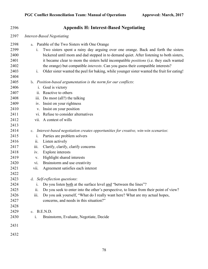| 2396                 | <b>Appendix H: Interest-Based Negotiating</b>                                                                                                                                                                                          |
|----------------------|----------------------------------------------------------------------------------------------------------------------------------------------------------------------------------------------------------------------------------------|
| 2397                 | <b>Interest-Based Negotiating</b>                                                                                                                                                                                                      |
| 2398<br>2399<br>2400 | Parable of the Two Sisters with One Orange<br>a.<br>Two sisters spent a rainy day arguing over one orange. Back and forth the sisters<br>1.<br>bickered until mom and dad stepped in to demand quiet. After listening to both sisters, |
| 2401<br>2402         | it became clear to mom the sisters held incompatible <i>positions</i> (i.e. they each wanted<br>the orange) but compatible <i>interests</i> . Can you guess their compatible interests?                                                |
| 2403<br>2404         | Older sister wanted the peel for baking, while younger sister wanted the fruit for eating!<br>i.                                                                                                                                       |
| 2405                 | b. Position-based argumentation is the norm for our conflicts:                                                                                                                                                                         |
| 2406                 | Goal is victory<br>$\mathbf{i}$ .                                                                                                                                                                                                      |
| 2407                 | Reactive to others<br>$\overline{11}$ .                                                                                                                                                                                                |
| 2408                 | Do most (all?) the talking<br>iii.                                                                                                                                                                                                     |
| 2409                 | iv. Insist on your rightness                                                                                                                                                                                                           |
| 2410                 | Insist on your position<br>V.                                                                                                                                                                                                          |
| 2411                 | vi. Refuse to consider alternatives                                                                                                                                                                                                    |
| 2412                 | vii. A contest of wills                                                                                                                                                                                                                |
| 2413                 |                                                                                                                                                                                                                                        |
| 2414                 | Interest-based negotiation creates opportunities for creative, win-win scenarios:<br>c.                                                                                                                                                |
| 2415                 | Parties are problem solvers<br>i.                                                                                                                                                                                                      |
| 2416                 | ii.<br>Listen actively                                                                                                                                                                                                                 |
| 2417                 | Clarify, clarify, clarify concerns<br><i>iii.</i>                                                                                                                                                                                      |
| 2418                 | Explore interests<br>iv.                                                                                                                                                                                                               |
| 2419                 | Highlight shared interests<br>V.                                                                                                                                                                                                       |
| 2420                 | Brainstorm and use creativity<br>$\overline{vi}$ .                                                                                                                                                                                     |
| 2421                 | Agreement satisfies each interest<br>vii.                                                                                                                                                                                              |
| 2422                 |                                                                                                                                                                                                                                        |
| 2423                 | d. Self-reflection questions:                                                                                                                                                                                                          |
| 2424                 | Do you listen both at the surface level and "between the lines"?<br>1.                                                                                                                                                                 |
| 2425                 | Do you seek to enter into the other's perspective, to listen from their point of view?<br>ii.                                                                                                                                          |
| 2426                 | iii.<br>Do you ask yourself, "What do I really want here? What are my actual hopes,                                                                                                                                                    |
| 2427                 | concerns, and needs in this situation?"                                                                                                                                                                                                |
| 2428                 |                                                                                                                                                                                                                                        |
| 2429                 | e. B.E.N.D.                                                                                                                                                                                                                            |
| 2430                 | Brainstorm, Evaluate, Negotiate, Decide<br>1.                                                                                                                                                                                          |
| 2431                 |                                                                                                                                                                                                                                        |
| 2432                 |                                                                                                                                                                                                                                        |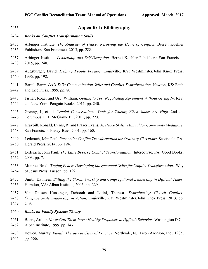| 2433 | <b>Appendix I: Bibliography</b>                                                                  |
|------|--------------------------------------------------------------------------------------------------|
| 2434 | <b>Books on Conflict Transformation Skills</b>                                                   |
| 2435 | Arbinger Institute. The Anatomy of Peace: Resolving the Heart of Conflict. Berrett Koehler       |
| 2436 | Publishers: San Francisco, 2015, pp. 288.                                                        |
| 2437 | Arbinger Institute. Leadership and Self-Deception. Berrett Koehler Publishers: San Francisco,    |
| 2438 | 2015, pp. 240.                                                                                   |
| 2439 | Augsburger, David. Helping People Forgive. Louisville, KY: Westminster/John Knox Press,          |
| 2440 | 1996, pp. 192.                                                                                   |
| 2441 | Bartel, Barry. Let's Talk: Communication Skills and Conflict Transformation. Newton, KS: Faith   |
| 2442 | and Life Press, 1999, pp. 80.                                                                    |
| 2443 | Fisher, Roger and Ury, William. Getting to Yes: Negotiating Agreement Without Giving In. Rev.    |
| 2444 | ed. New York: Penguin Books, 2011, pp. 240.                                                      |
| 2445 | Grenny, J., et. al. Crucial Conversations: Tools for Talking When Stakes Are High. 2nd ed.       |
| 2446 | Columbus, OH: McGraw-Hill, 2011, pp. 273.                                                        |
| 2447 | Kraybill, Ronald, Evans, R. and Frazer Evans, A. Peace Skills: Manual for Community Mediators.   |
| 2448 | San Francisco: Jossey-Bass, 2001, pp. 160.                                                       |
| 2449 | Lederach, John Paul. Reconcile: Conflict Transformation for Ordinary Christians. Scottsdale, PA: |
| 2450 | Herald Press, 2014, pp. 194.                                                                     |
| 2451 | Lederach, John Paul. The Little Book of Conflict Transformation. Intercourse, PA: Good Books,    |
| 2452 | 2003, pp. 7.                                                                                     |
| 2453 | Munroe, Brad. Waging Peace: Developing Interpersonal Skills for Conflict Transformation. Way     |
| 2454 | of Jesus Press: Tucson, pp. 192.                                                                 |
| 2455 | Smith, Kathleen. Stilling the Storm: Worship and Congregational Leadership in Difficult Times.   |
| 2456 | Herndon, VA: Alban Institute, 2006, pp. 229.                                                     |
| 2457 | Van Deusen Hunsinger, Deborah and Latini, Theresa. Transforming Church Conflict:                 |
| 2458 | Compassionate Leadership in Action. Louisville, KY: Westminster/John Knox Press, 2013, pp.       |
| 2459 | 249.                                                                                             |
| 2460 | <b>Books on Family Systems Theory</b>                                                            |
| 2461 | Boers, Arthur. Never Call Them Jerks: Healthy Responses to Difficult Behavior. Washington D.C.:  |
| 2462 | Alban Institute, 1999, pp. 147.                                                                  |
| 2463 | Bowen, Murray. Family Therapy in Clinical Practice. Northvale, NJ: Jason Aronson, Inc., 1985,    |
| 2464 | pp. 566.                                                                                         |